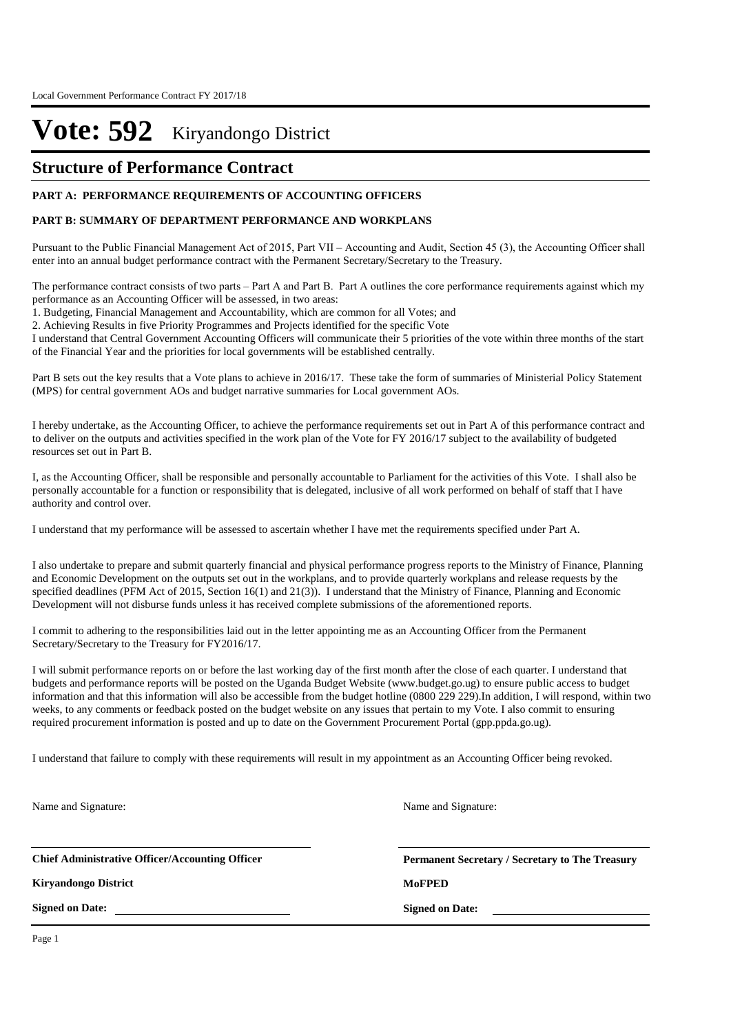### **Structure of Performance Contract**

#### **PART A: PERFORMANCE REQUIREMENTS OF ACCOUNTING OFFICERS**

#### **PART B: SUMMARY OF DEPARTMENT PERFORMANCE AND WORKPLANS**

Pursuant to the Public Financial Management Act of 2015, Part VII – Accounting and Audit, Section 45 (3), the Accounting Officer shall enter into an annual budget performance contract with the Permanent Secretary/Secretary to the Treasury.

The performance contract consists of two parts – Part A and Part B. Part A outlines the core performance requirements against which my performance as an Accounting Officer will be assessed, in two areas:

1. Budgeting, Financial Management and Accountability, which are common for all Votes; and

2. Achieving Results in five Priority Programmes and Projects identified for the specific Vote

I understand that Central Government Accounting Officers will communicate their 5 priorities of the vote within three months of the start of the Financial Year and the priorities for local governments will be established centrally.

Part B sets out the key results that a Vote plans to achieve in 2016/17. These take the form of summaries of Ministerial Policy Statement (MPS) for central government AOs and budget narrative summaries for Local government AOs.

I hereby undertake, as the Accounting Officer, to achieve the performance requirements set out in Part A of this performance contract and to deliver on the outputs and activities specified in the work plan of the Vote for FY 2016/17 subject to the availability of budgeted resources set out in Part B.

I, as the Accounting Officer, shall be responsible and personally accountable to Parliament for the activities of this Vote. I shall also be personally accountable for a function or responsibility that is delegated, inclusive of all work performed on behalf of staff that I have authority and control over.

I understand that my performance will be assessed to ascertain whether I have met the requirements specified under Part A.

I also undertake to prepare and submit quarterly financial and physical performance progress reports to the Ministry of Finance, Planning and Economic Development on the outputs set out in the workplans, and to provide quarterly workplans and release requests by the specified deadlines (PFM Act of 2015, Section 16(1) and 21(3)). I understand that the Ministry of Finance, Planning and Economic Development will not disburse funds unless it has received complete submissions of the aforementioned reports.

I commit to adhering to the responsibilities laid out in the letter appointing me as an Accounting Officer from the Permanent Secretary/Secretary to the Treasury for FY2016/17.

I will submit performance reports on or before the last working day of the first month after the close of each quarter. I understand that budgets and performance reports will be posted on the Uganda Budget Website (www.budget.go.ug) to ensure public access to budget information and that this information will also be accessible from the budget hotline (0800 229 229).In addition, I will respond, within two weeks, to any comments or feedback posted on the budget website on any issues that pertain to my Vote. I also commit to ensuring required procurement information is posted and up to date on the Government Procurement Portal (gpp.ppda.go.ug).

I understand that failure to comply with these requirements will result in my appointment as an Accounting Officer being revoked.

Name and Signature:

**Chief Administrative Officer/Accounting Officer**

**Kiryandongo District MoFPED**

**Signed on Date:**

**Permanent Secretary / Secretary to The Treasury**

**Signed on Date:**

Name and Signature:

Page 1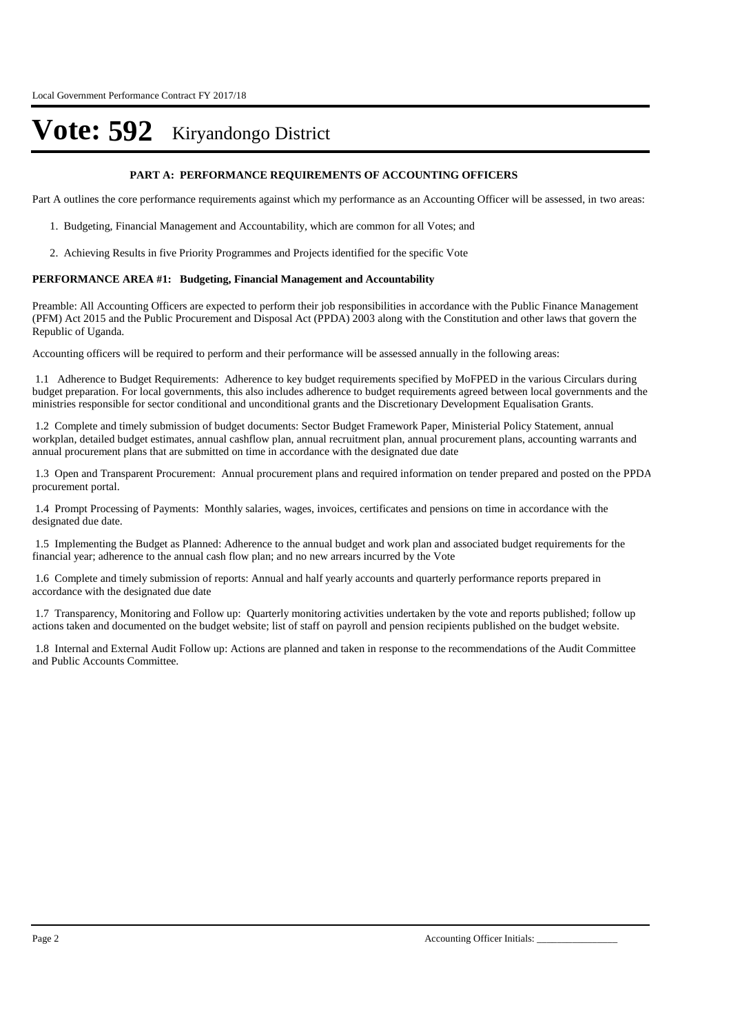#### **PART A: PERFORMANCE REQUIREMENTS OF ACCOUNTING OFFICERS**

Part A outlines the core performance requirements against which my performance as an Accounting Officer will be assessed, in two areas:

- 1. Budgeting, Financial Management and Accountability, which are common for all Votes; and
- 2. Achieving Results in five Priority Programmes and Projects identified for the specific Vote

#### **PERFORMANCE AREA #1: Budgeting, Financial Management and Accountability**

Preamble: All Accounting Officers are expected to perform their job responsibilities in accordance with the Public Finance Management (PFM) Act 2015 and the Public Procurement and Disposal Act (PPDA) 2003 along with the Constitution and other laws that govern the Republic of Uganda.

Accounting officers will be required to perform and their performance will be assessed annually in the following areas:

1.1 Adherence to Budget Requirements: Adherence to key budget requirements specified by MoFPED in the various Circulars during budget preparation. For local governments, this also includes adherence to budget requirements agreed between local governments and the ministries responsible for sector conditional and unconditional grants and the Discretionary Development Equalisation Grants.

1.2 Complete and timely submission of budget documents: Sector Budget Framework Paper, Ministerial Policy Statement, annual workplan, detailed budget estimates, annual cashflow plan, annual recruitment plan, annual procurement plans, accounting warrants and annual procurement plans that are submitted on time in accordance with the designated due date

1.3 Open and Transparent Procurement: Annual procurement plans and required information on tender prepared and posted on the PPDA procurement portal.

1.4 Prompt Processing of Payments: Monthly salaries, wages, invoices, certificates and pensions on time in accordance with the designated due date.

1.5 Implementing the Budget as Planned: Adherence to the annual budget and work plan and associated budget requirements for the financial year; adherence to the annual cash flow plan; and no new arrears incurred by the Vote

1.6 Complete and timely submission of reports: Annual and half yearly accounts and quarterly performance reports prepared in accordance with the designated due date

1.7 Transparency, Monitoring and Follow up: Quarterly monitoring activities undertaken by the vote and reports published; follow up actions taken and documented on the budget website; list of staff on payroll and pension recipients published on the budget website.

1.8 Internal and External Audit Follow up: Actions are planned and taken in response to the recommendations of the Audit Committee and Public Accounts Committee.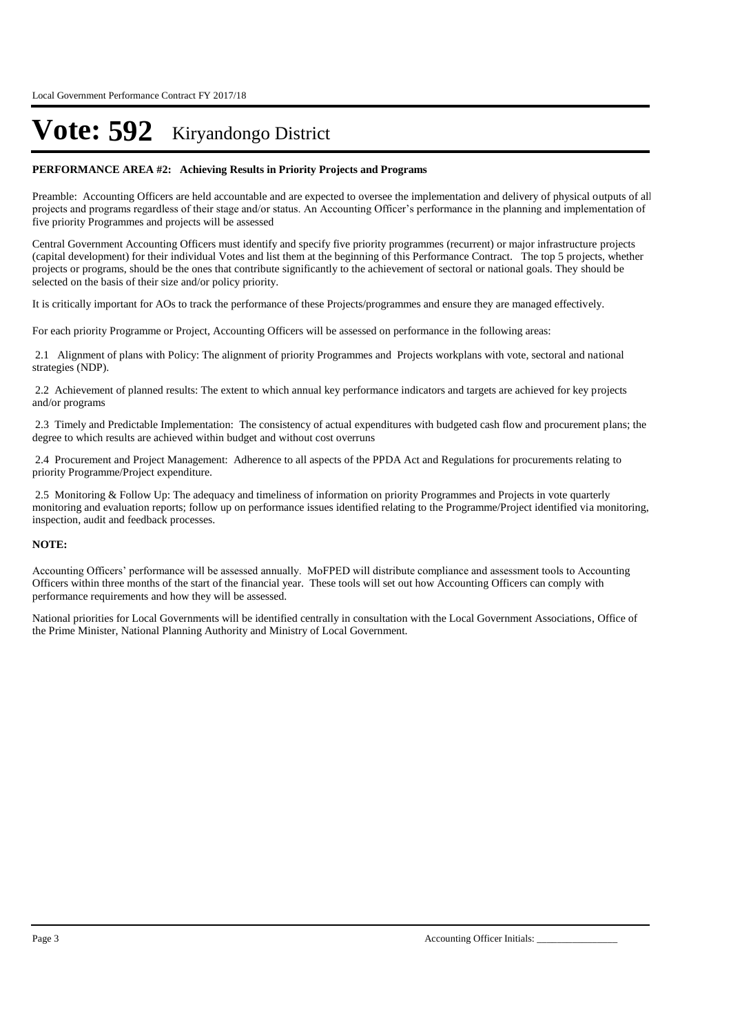#### **PERFORMANCE AREA #2: Achieving Results in Priority Projects and Programs**

Preamble: Accounting Officers are held accountable and are expected to oversee the implementation and delivery of physical outputs of all projects and programs regardless of their stage and/or status. An Accounting Officer's performance in the planning and implementation of five priority Programmes and projects will be assessed

Central Government Accounting Officers must identify and specify five priority programmes (recurrent) or major infrastructure projects (capital development) for their individual Votes and list them at the beginning of this Performance Contract. The top 5 projects, whether projects or programs, should be the ones that contribute significantly to the achievement of sectoral or national goals. They should be selected on the basis of their size and/or policy priority.

It is critically important for AOs to track the performance of these Projects/programmes and ensure they are managed effectively.

For each priority Programme or Project, Accounting Officers will be assessed on performance in the following areas:

2.1 Alignment of plans with Policy: The alignment of priority Programmes and Projects workplans with vote, sectoral and national strategies (NDP).

2.2 Achievement of planned results: The extent to which annual key performance indicators and targets are achieved for key projects and/or programs

2.3 Timely and Predictable Implementation: The consistency of actual expenditures with budgeted cash flow and procurement plans; the degree to which results are achieved within budget and without cost overruns

2.4 Procurement and Project Management: Adherence to all aspects of the PPDA Act and Regulations for procurements relating to priority Programme/Project expenditure.

2.5 Monitoring & Follow Up: The adequacy and timeliness of information on priority Programmes and Projects in vote quarterly monitoring and evaluation reports; follow up on performance issues identified relating to the Programme/Project identified via monitoring, inspection, audit and feedback processes.

#### **NOTE:**

Accounting Officers' performance will be assessed annually. MoFPED will distribute compliance and assessment tools to Accounting Officers within three months of the start of the financial year. These tools will set out how Accounting Officers can comply with performance requirements and how they will be assessed.

National priorities for Local Governments will be identified centrally in consultation with the Local Government Associations, Office of the Prime Minister, National Planning Authority and Ministry of Local Government.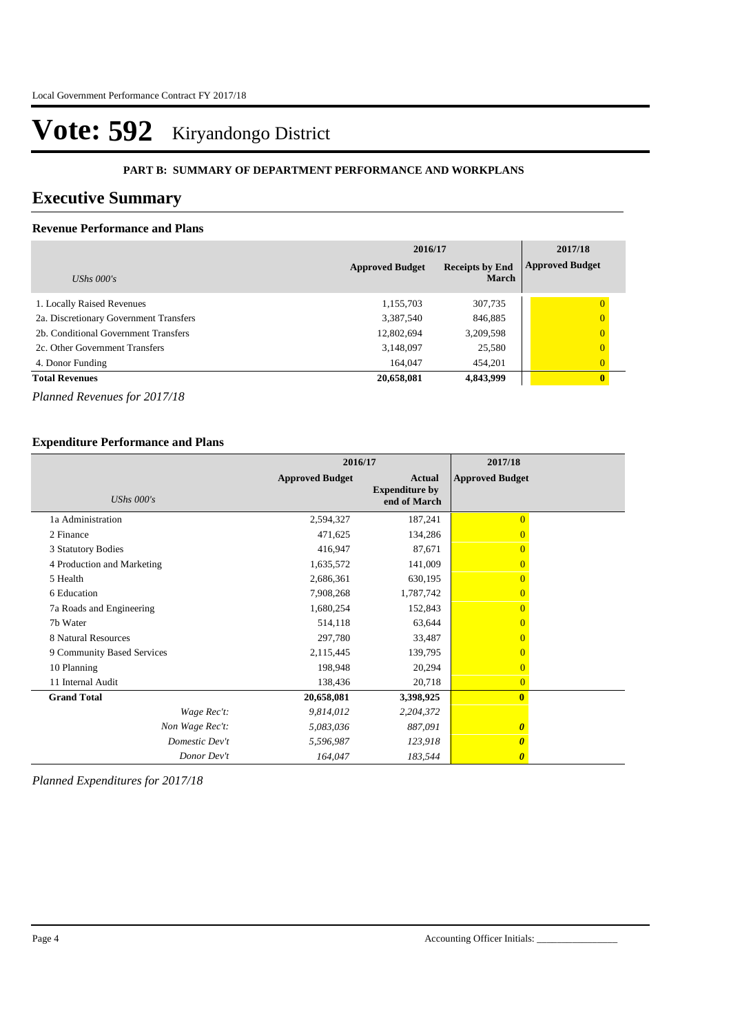#### **PART B: SUMMARY OF DEPARTMENT PERFORMANCE AND WORKPLANS**

### **Executive Summary**

#### **Revenue Performance and Plans**

|                                        | 2016/17                | 2017/18                                |                        |
|----------------------------------------|------------------------|----------------------------------------|------------------------|
| UShs $000's$                           | <b>Approved Budget</b> | <b>Receipts by End</b><br><b>March</b> | <b>Approved Budget</b> |
| 1. Locally Raised Revenues             | 1,155,703              | 307,735                                | $\theta$               |
| 2a. Discretionary Government Transfers | 3,387,540              | 846,885                                | $\overline{0}$         |
| 2b. Conditional Government Transfers   | 12,802,694             | 3,209,598                              | $\overline{0}$         |
| 2c. Other Government Transfers         | 3,148,097              | 25,580                                 | $\Omega$               |
| 4. Donor Funding                       | 164.047                | 454,201                                | $\overline{0}$         |
| <b>Total Revenues</b>                  | 20,658,081             | 4,843,999                              | $\mathbf{0}$           |

*Planned Revenues for 2017/18*

#### **Expenditure Performance and Plans**

|                            | 2016/17                |                                                        | 2017/18                |  |
|----------------------------|------------------------|--------------------------------------------------------|------------------------|--|
| UShs $000's$               | <b>Approved Budget</b> | <b>Actual</b><br><b>Expenditure by</b><br>end of March | <b>Approved Budget</b> |  |
| 1a Administration          | 2,594,327              | 187,241                                                | $\overline{0}$         |  |
| 2 Finance                  | 471,625                | 134,286                                                |                        |  |
| 3 Statutory Bodies         | 416,947                | 87,671                                                 | $\Omega$               |  |
| 4 Production and Marketing | 1,635,572              | 141,009                                                | $\Omega$               |  |
| 5 Health                   | 2,686,361              | 630,195                                                | $\Omega$               |  |
| 6 Education                | 7,908,268              | 1,787,742                                              | $\Omega$               |  |
| 7a Roads and Engineering   | 1,680,254              | 152,843                                                | $\Omega$               |  |
| 7b Water                   | 514,118                | 63,644                                                 | $\Omega$               |  |
| 8 Natural Resources        | 297,780                | 33,487                                                 | $\Omega$               |  |
| 9 Community Based Services | 2,115,445              | 139,795                                                | $\overline{0}$         |  |
| 10 Planning                | 198,948                | 20,294                                                 | $\Omega$               |  |
| 11 Internal Audit          | 138,436                | 20,718                                                 | $\overline{0}$         |  |
| <b>Grand Total</b>         | 20,658,081             | 3,398,925                                              | $\mathbf{0}$           |  |
| Wage Rec't:                | 9,814,012              | 2,204,372                                              |                        |  |
| Non Wage Rec't:            | 5,083,036              | 887,091                                                | $\boldsymbol{\theta}$  |  |
| Domestic Dev't             | 5,596,987              | 123,918                                                | 0                      |  |
| Donor Dev't                | 164,047                | 183,544                                                | $\boldsymbol{\theta}$  |  |

*Planned Expenditures for 2017/18*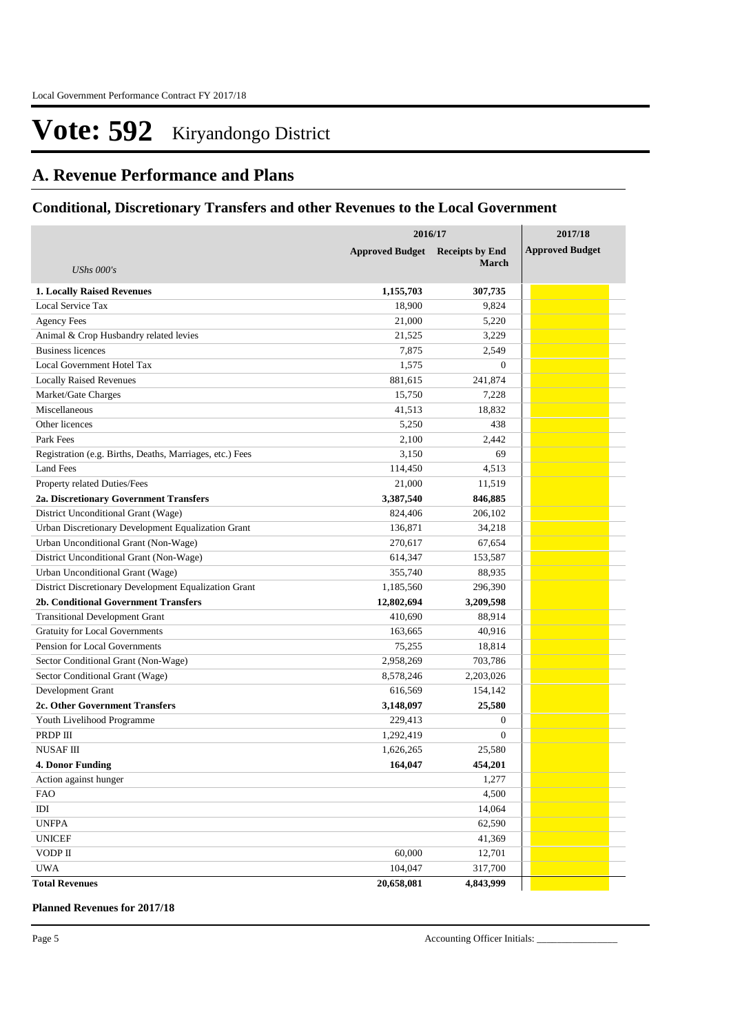### **A. Revenue Performance and Plans**

### **Conditional, Discretionary Transfers and other Revenues to the Local Government**

|                                                          | 2016/17                | 2017/18                |                        |
|----------------------------------------------------------|------------------------|------------------------|------------------------|
|                                                          | <b>Approved Budget</b> | <b>Receipts by End</b> | <b>Approved Budget</b> |
| <b>UShs 000's</b>                                        |                        | <b>March</b>           |                        |
| <b>1. Locally Raised Revenues</b>                        | 1,155,703              | 307,735                |                        |
| Local Service Tax                                        | 18,900                 | 9,824                  |                        |
| <b>Agency Fees</b>                                       | 21,000                 | 5,220                  |                        |
| Animal & Crop Husbandry related levies                   | 21,525                 | 3,229                  |                        |
| <b>Business licences</b>                                 | 7,875                  | 2,549                  |                        |
| Local Government Hotel Tax                               | 1,575                  | $\theta$               |                        |
| <b>Locally Raised Revenues</b>                           | 881,615                | 241,874                |                        |
| Market/Gate Charges                                      | 15,750                 | 7,228                  |                        |
| Miscellaneous                                            | 41,513                 | 18,832                 |                        |
| Other licences                                           | 5,250                  | 438                    |                        |
| Park Fees                                                | 2,100                  | 2,442                  |                        |
| Registration (e.g. Births, Deaths, Marriages, etc.) Fees | 3,150                  | 69                     |                        |
| Land Fees                                                | 114,450                | 4,513                  |                        |
| Property related Duties/Fees                             | 21,000                 | 11,519                 |                        |
| 2a. Discretionary Government Transfers                   | 3,387,540              | 846,885                |                        |
| District Unconditional Grant (Wage)                      | 824,406                | 206,102                |                        |
| Urban Discretionary Development Equalization Grant       | 136,871                | 34,218                 |                        |
| Urban Unconditional Grant (Non-Wage)                     | 270,617                | 67,654                 |                        |
| District Unconditional Grant (Non-Wage)                  | 614,347                | 153,587                |                        |
| Urban Unconditional Grant (Wage)                         | 355,740                | 88,935                 |                        |
| District Discretionary Development Equalization Grant    | 1,185,560              | 296,390                |                        |
| 2b. Conditional Government Transfers                     | 12,802,694             | 3,209,598              |                        |
| <b>Transitional Development Grant</b>                    | 410,690                | 88,914                 |                        |
| <b>Gratuity for Local Governments</b>                    | 163,665                | 40,916                 |                        |
| Pension for Local Governments                            | 75,255                 | 18,814                 |                        |
| Sector Conditional Grant (Non-Wage)                      | 2,958,269              | 703,786                |                        |
| Sector Conditional Grant (Wage)                          | 8,578,246              | 2,203,026              |                        |
| Development Grant                                        | 616,569                | 154,142                |                        |
| 2c. Other Government Transfers                           | 3,148,097              | 25,580                 |                        |
| Youth Livelihood Programme                               | 229,413                | $\overline{0}$         |                        |
| PRDP III                                                 | 1,292,419              | $\theta$               |                        |
| <b>NUSAFIII</b>                                          | 1,626,265              | 25,580                 |                        |
| <b>4. Donor Funding</b>                                  | 164,047                | 454,201                |                        |
| Action against hunger                                    |                        | 1,277                  |                        |
| <b>FAO</b>                                               |                        | 4,500                  |                        |
| $\rm{IDI}$                                               |                        | 14,064                 |                        |
| <b>UNFPA</b>                                             |                        | 62,590                 |                        |
| <b>UNICEF</b>                                            |                        | 41,369                 |                        |
| VODP II                                                  | 60,000                 | 12,701                 |                        |
| <b>UWA</b>                                               | 104,047                | 317,700                |                        |
| <b>Total Revenues</b>                                    | 20,658,081             | 4,843,999              |                        |

**Planned Revenues for 2017/18**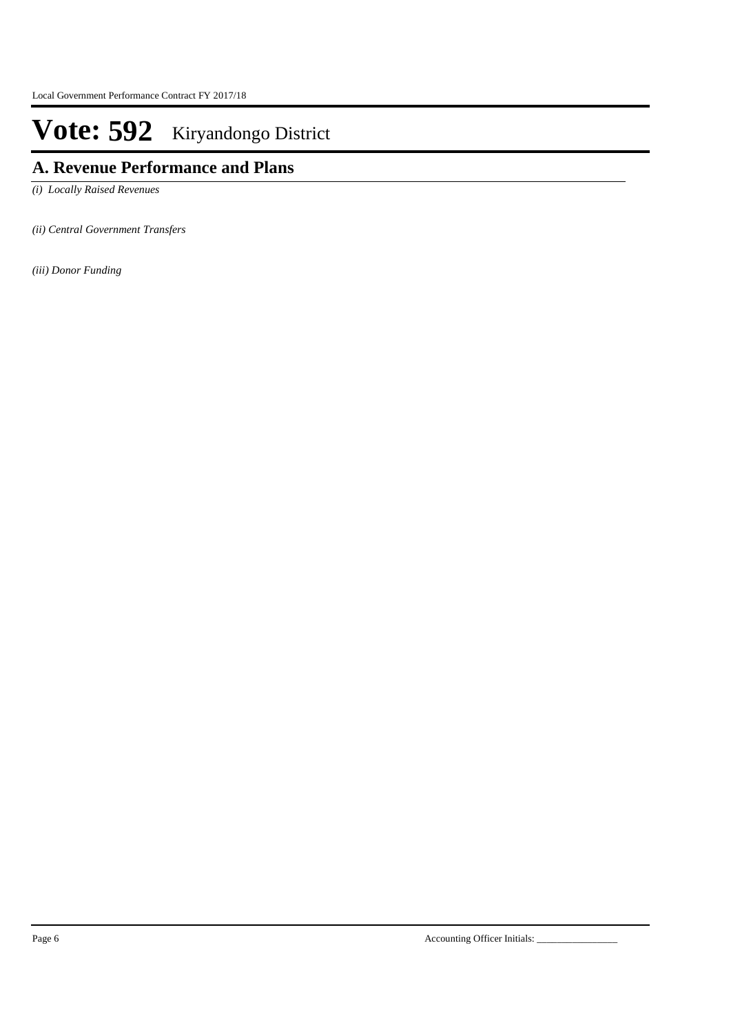# **A. Revenue Performance and Plans**

*(i) Locally Raised Revenues* 

*(ii) Central Government Transfers*

*(iii) Donor Funding*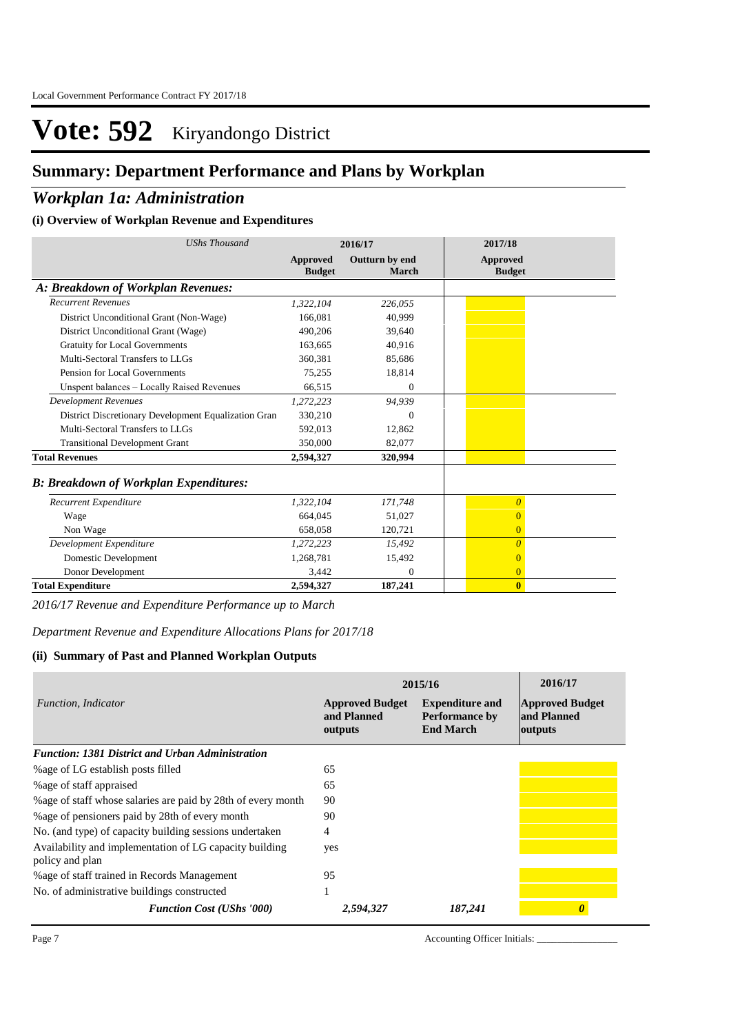## **Summary: Department Performance and Plans by Workplan**

### *Workplan 1a: Administration*

#### **(i) Overview of Workplan Revenue and Expenditures**

| <b>UShs Thousand</b>                                 |                           | 2016/17                 | 2017/18                          |
|------------------------------------------------------|---------------------------|-------------------------|----------------------------------|
|                                                      | Approved<br><b>Budget</b> | Outturn by end<br>March | <b>Approved</b><br><b>Budget</b> |
| A: Breakdown of Workplan Revenues:                   |                           |                         |                                  |
| <b>Recurrent Revenues</b>                            | 1,322,104                 | 226,055                 |                                  |
| District Unconditional Grant (Non-Wage)              | 166,081                   | 40,999                  |                                  |
| District Unconditional Grant (Wage)                  | 490,206                   | 39,640                  |                                  |
| <b>Gratuity for Local Governments</b>                | 163,665                   | 40,916                  |                                  |
| Multi-Sectoral Transfers to LLGs                     | 360,381                   | 85,686                  |                                  |
| Pension for Local Governments                        | 75,255                    | 18,814                  |                                  |
| Unspent balances - Locally Raised Revenues           | 66,515                    | $\mathbf{0}$            |                                  |
| <b>Development Revenues</b>                          | 1,272,223                 | 94.939                  |                                  |
| District Discretionary Development Equalization Gran | 330,210                   | $\Omega$                |                                  |
| Multi-Sectoral Transfers to LLGs                     | 592.013                   | 12.862                  |                                  |
| <b>Transitional Development Grant</b>                | 350,000                   | 82,077                  |                                  |
| <b>Total Revenues</b>                                | 2,594,327                 | 320,994                 |                                  |
| <b>B: Breakdown of Workplan Expenditures:</b>        |                           |                         |                                  |
| Recurrent Expenditure                                | 1,322,104                 | 171,748                 | $\theta$                         |
| Wage                                                 | 664.045                   | 51,027                  | $\overline{0}$                   |
| Non Wage                                             | 658,058                   | 120,721                 | $\overline{0}$                   |
| Development Expenditure                              | 1,272,223                 | 15,492                  | $\overline{0}$                   |
| Domestic Development                                 | 1,268,781                 | 15,492                  | $\overline{0}$                   |
| Donor Development                                    | 3,442                     | $\Omega$                | $\overline{0}$                   |
| <b>Total Expenditure</b>                             | 2,594,327                 | 187,241                 | $\mathbf{0}$                     |

*2016/17 Revenue and Expenditure Performance up to March*

*Department Revenue and Expenditure Allocations Plans for 2017/18*

#### **(ii) Summary of Past and Planned Workplan Outputs**

|                                                                            | 2015/16                                          | 2016/17                                                             |                                                  |
|----------------------------------------------------------------------------|--------------------------------------------------|---------------------------------------------------------------------|--------------------------------------------------|
| Function, Indicator                                                        | <b>Approved Budget</b><br>and Planned<br>outputs | <b>Expenditure and</b><br><b>Performance by</b><br><b>End March</b> | <b>Approved Budget</b><br>and Planned<br>outputs |
| <b>Function: 1381 District and Urban Administration</b>                    |                                                  |                                                                     |                                                  |
| % age of LG establish posts filled                                         | 65                                               |                                                                     |                                                  |
| % age of staff appraised                                                   | 65                                               |                                                                     |                                                  |
| % age of staff whose salaries are paid by 28th of every month              | 90                                               |                                                                     |                                                  |
| % age of pensioners paid by 28th of every month                            | 90                                               |                                                                     |                                                  |
| No. (and type) of capacity building sessions undertaken                    | 4                                                |                                                                     |                                                  |
| Availability and implementation of LG capacity building<br>policy and plan | yes                                              |                                                                     |                                                  |
| %age of staff trained in Records Management                                | 95                                               |                                                                     |                                                  |
| No. of administrative buildings constructed                                |                                                  |                                                                     |                                                  |
| <b>Function Cost (UShs '000)</b>                                           | 2,594,327                                        | 187,241                                                             |                                                  |

Page 7 Accounting Officer Initials: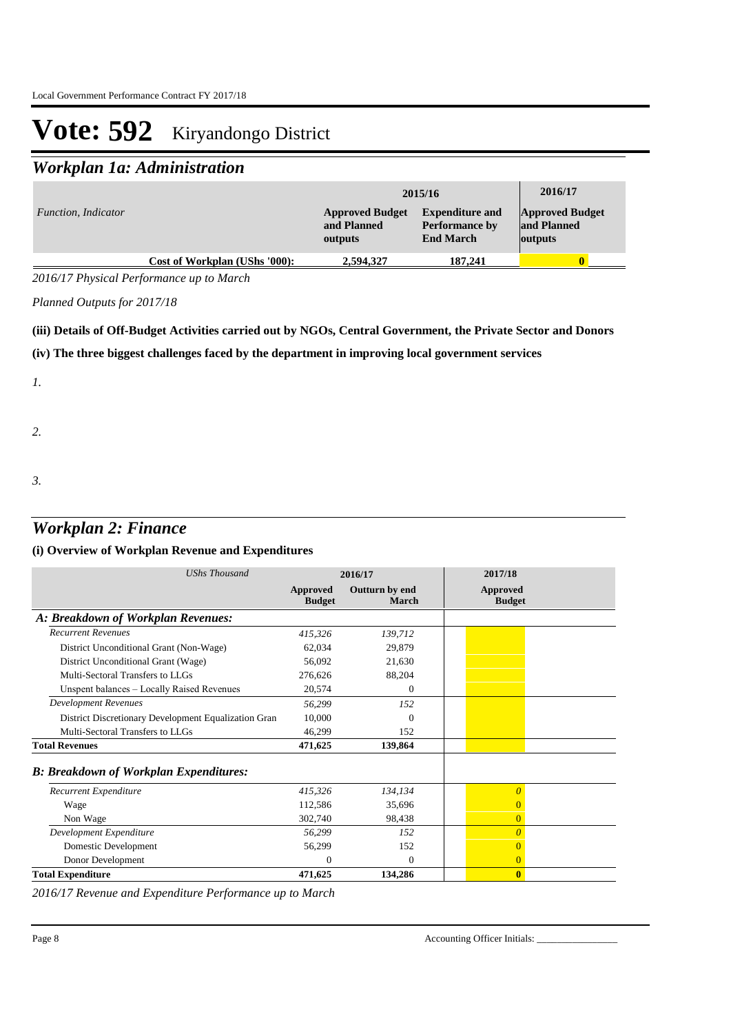## *Workplan 1a: Administration*

|                     |                               | 2015/16                                          | 2016/17                                                             |                                                  |
|---------------------|-------------------------------|--------------------------------------------------|---------------------------------------------------------------------|--------------------------------------------------|
| Function, Indicator |                               | <b>Approved Budget</b><br>and Planned<br>outputs | <b>Expenditure and</b><br><b>Performance by</b><br><b>End March</b> | <b>Approved Budget</b><br>and Planned<br>outputs |
|                     | Cost of Workplan (UShs '000): | 2,594,327                                        | 187,241                                                             |                                                  |

*2016/17 Physical Performance up to March*

*Planned Outputs for 2017/18* 

#### **(iii) Details of Off-Budget Activities carried out by NGOs, Central Government, the Private Sector and Donors**

#### **(iv) The three biggest challenges faced by the department in improving local government services**

*1.*

*2.*

*3.*

# *Workplan 2: Finance*

### **(i) Overview of Workplan Revenue and Expenditures**

| UShs Thousand                                        | 2016/17                   |                         | 2017/18                          |
|------------------------------------------------------|---------------------------|-------------------------|----------------------------------|
|                                                      | Approved<br><b>Budget</b> | Outturn by end<br>March | <b>Approved</b><br><b>Budget</b> |
| A: Breakdown of Workplan Revenues:                   |                           |                         |                                  |
| <b>Recurrent Revenues</b>                            | 415,326                   | 139,712                 |                                  |
| District Unconditional Grant (Non-Wage)              | 62,034                    | 29,879                  |                                  |
| District Unconditional Grant (Wage)                  | 56,092                    | 21,630                  |                                  |
| Multi-Sectoral Transfers to LLGs                     | 276,626                   | 88,204                  |                                  |
| Unspent balances - Locally Raised Revenues           | 20,574                    | $\Omega$                |                                  |
| <b>Development Revenues</b>                          | 56,299                    | 152                     |                                  |
| District Discretionary Development Equalization Gran | 10,000                    | $\Omega$                |                                  |
| Multi-Sectoral Transfers to LLGs                     | 46,299                    | 152                     |                                  |
| <b>Total Revenues</b>                                | 471,625                   | 139,864                 |                                  |
| <b>B: Breakdown of Workplan Expenditures:</b>        |                           |                         |                                  |
| Recurrent Expenditure                                | 415,326                   | 134,134                 | $\Omega$                         |
| Wage                                                 | 112,586                   | 35,696                  | 0                                |
| Non Wage                                             | 302,740                   | 98,438                  | $\overline{0}$                   |
| Development Expenditure                              | 56,299                    | 152                     | $\theta$                         |
| Domestic Development                                 | 56,299                    | 152                     | 0                                |
| Donor Development                                    | $\Omega$                  | $\Omega$                | $\overline{0}$                   |
| <b>Total Expenditure</b>                             | 471,625                   | 134,286                 | $\bf{0}$                         |

*2016/17 Revenue and Expenditure Performance up to March*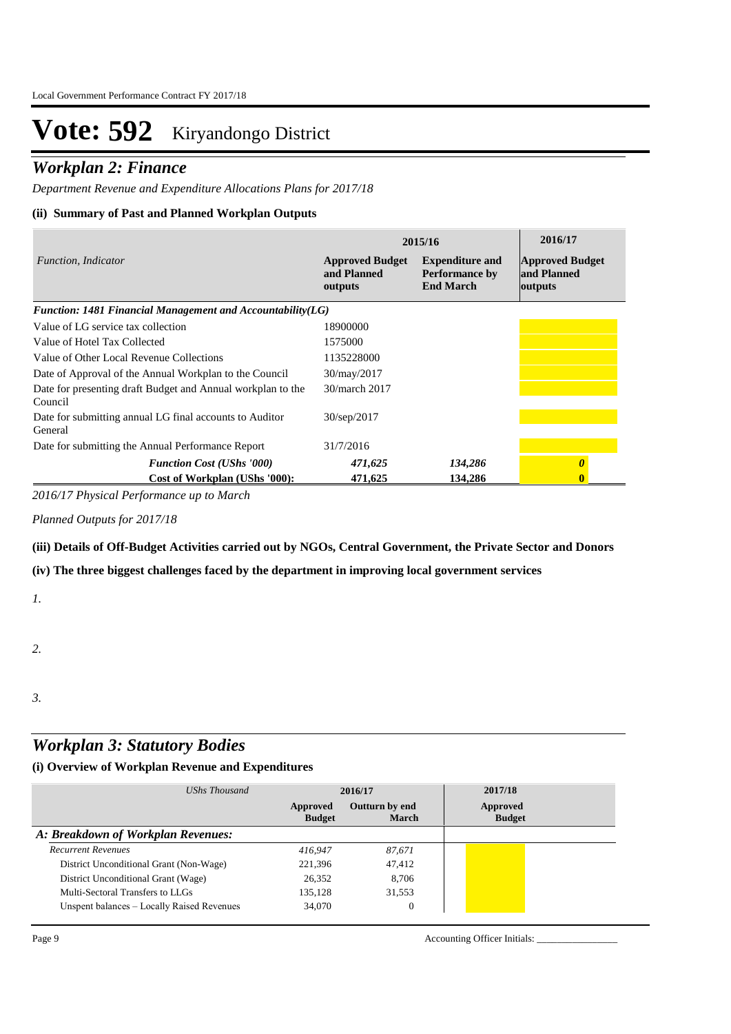### *Workplan 2: Finance*

*Department Revenue and Expenditure Allocations Plans for 2017/18*

#### **(ii) Summary of Past and Planned Workplan Outputs**

|                                                                        | 2015/16                                          | 2016/17                                                             |                                                  |
|------------------------------------------------------------------------|--------------------------------------------------|---------------------------------------------------------------------|--------------------------------------------------|
| Function, Indicator                                                    | <b>Approved Budget</b><br>and Planned<br>outputs | <b>Expenditure and</b><br><b>Performance by</b><br><b>End March</b> | <b>Approved Budget</b><br>and Planned<br>outputs |
| Function: 1481 Financial Management and Accountability $(LG)$          |                                                  |                                                                     |                                                  |
| Value of LG service tax collection                                     | 18900000                                         |                                                                     |                                                  |
| Value of Hotel Tax Collected                                           | 1575000                                          |                                                                     |                                                  |
| Value of Other Local Revenue Collections                               | 1135228000                                       |                                                                     |                                                  |
| Date of Approval of the Annual Workplan to the Council                 | 30/may/2017                                      |                                                                     |                                                  |
| Date for presenting draft Budget and Annual workplan to the<br>Council | 30/march 2017                                    |                                                                     |                                                  |
| Date for submitting annual LG final accounts to Auditor<br>General     | 30/sep/2017                                      |                                                                     |                                                  |
| Date for submitting the Annual Performance Report                      | 31/7/2016                                        |                                                                     |                                                  |
| <b>Function Cost (UShs '000)</b>                                       | 471,625                                          | 134,286                                                             |                                                  |
| Cost of Workplan (UShs '000):                                          | 471,625                                          | 134,286                                                             |                                                  |

*2016/17 Physical Performance up to March*

*Planned Outputs for 2017/18* 

**(iii) Details of Off-Budget Activities carried out by NGOs, Central Government, the Private Sector and Donors** 

**(iv) The three biggest challenges faced by the department in improving local government services**

*1.*

*2.*

*3.*

### *Workplan 3: Statutory Bodies*

| UShs Thousand                              |                           | 2016/17                 | 2017/18                   |  |
|--------------------------------------------|---------------------------|-------------------------|---------------------------|--|
|                                            | Approved<br><b>Budget</b> | Outturn by end<br>March | Approved<br><b>Budget</b> |  |
| A: Breakdown of Workplan Revenues:         |                           |                         |                           |  |
| <b>Recurrent Revenues</b>                  | 416.947                   | 87,671                  |                           |  |
| District Unconditional Grant (Non-Wage)    | 221,396                   | 47,412                  |                           |  |
| District Unconditional Grant (Wage)        | 26,352                    | 8,706                   |                           |  |
| Multi-Sectoral Transfers to LLGs           | 135,128                   | 31,553                  |                           |  |
| Unspent balances - Locally Raised Revenues | 34,070                    | $\overline{0}$          |                           |  |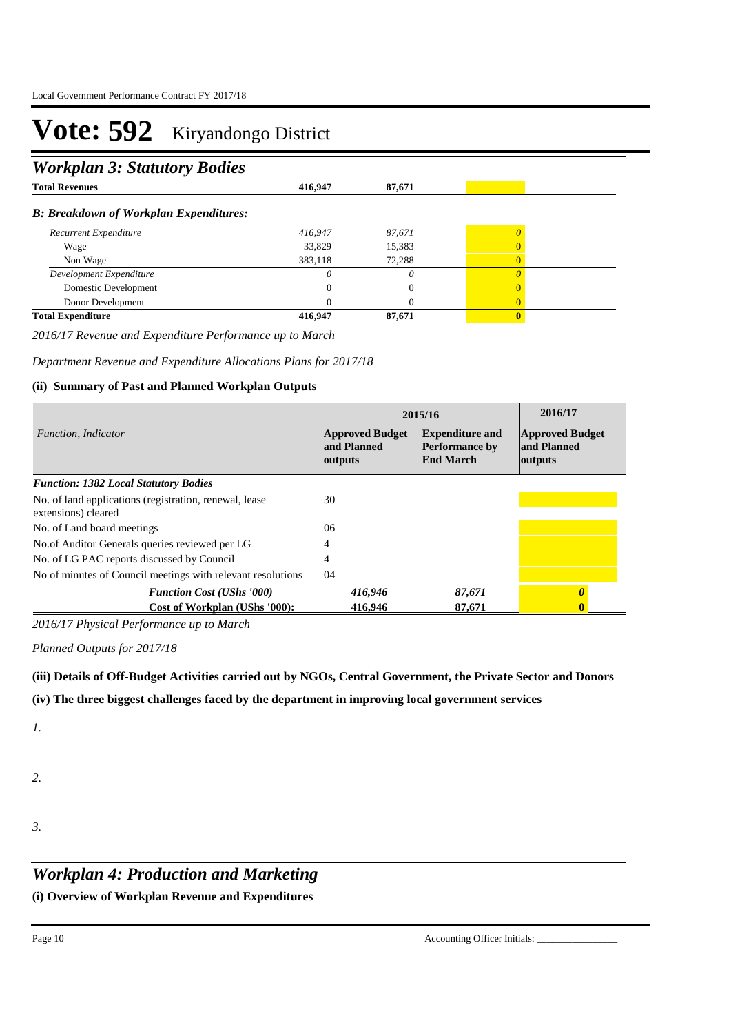### *Workplan 3: Statutory Bodies*

| <b>Total Revenues</b>                         | 416,947 | 87,671   |  |
|-----------------------------------------------|---------|----------|--|
| <b>B: Breakdown of Workplan Expenditures:</b> |         |          |  |
| Recurrent Expenditure                         | 416,947 | 87,671   |  |
| Wage                                          | 33,829  | 15,383   |  |
| Non Wage                                      | 383,118 | 72,288   |  |
| Development Expenditure                       |         | $\theta$ |  |
| Domestic Development                          |         |          |  |
| Donor Development                             |         |          |  |
| <b>Total Expenditure</b>                      | 416.947 | 87,671   |  |

*2016/17 Revenue and Expenditure Performance up to March*

*Department Revenue and Expenditure Allocations Plans for 2017/18*

#### **(ii) Summary of Past and Planned Workplan Outputs**

|                                                                               | 2015/16                                          | 2016/17                                                      |                                                  |
|-------------------------------------------------------------------------------|--------------------------------------------------|--------------------------------------------------------------|--------------------------------------------------|
| Function, Indicator                                                           | <b>Approved Budget</b><br>and Planned<br>outputs | <b>Expenditure and</b><br>Performance by<br><b>End March</b> | <b>Approved Budget</b><br>and Planned<br>outputs |
| <b>Function: 1382 Local Statutory Bodies</b>                                  |                                                  |                                                              |                                                  |
| No. of land applications (registration, renewal, lease<br>extensions) cleared | 30                                               |                                                              |                                                  |
| No. of Land board meetings                                                    | 06                                               |                                                              |                                                  |
| No.of Auditor Generals queries reviewed per LG                                | 4                                                |                                                              |                                                  |
| No. of LG PAC reports discussed by Council                                    | 4                                                |                                                              |                                                  |
| No of minutes of Council meetings with relevant resolutions                   | 04                                               |                                                              |                                                  |
| <b>Function Cost (UShs '000)</b>                                              | 416,946                                          | 87,671                                                       |                                                  |
| Cost of Workplan (UShs '000):                                                 | 416,946                                          | 87,671                                                       |                                                  |

*2016/17 Physical Performance up to March*

*Planned Outputs for 2017/18* 

#### **(iii) Details of Off-Budget Activities carried out by NGOs, Central Government, the Private Sector and Donors**

**(iv) The three biggest challenges faced by the department in improving local government services**

*1.*

- *2.*
- *3.*

### *Workplan 4: Production and Marketing*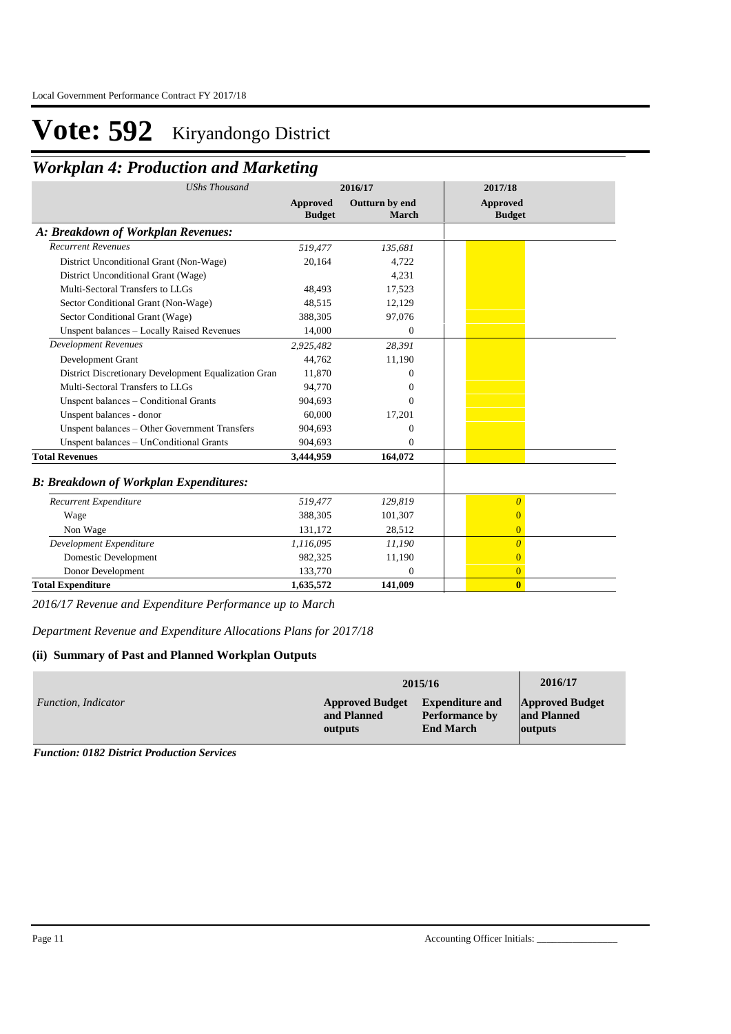## *Workplan 4: Production and Marketing*

| <b>UShs Thousand</b>                                 |                                  | 2016/17                        | 2017/18                   |
|------------------------------------------------------|----------------------------------|--------------------------------|---------------------------|
|                                                      | <b>Approved</b><br><b>Budget</b> | Outturn by end<br><b>March</b> | Approved<br><b>Budget</b> |
| A: Breakdown of Workplan Revenues:                   |                                  |                                |                           |
| <b>Recurrent Revenues</b>                            | 519,477                          | 135,681                        |                           |
| District Unconditional Grant (Non-Wage)              | 20,164                           | 4,722                          |                           |
| District Unconditional Grant (Wage)                  |                                  | 4,231                          |                           |
| Multi-Sectoral Transfers to LLGs                     | 48,493                           | 17,523                         |                           |
| Sector Conditional Grant (Non-Wage)                  | 48,515                           | 12,129                         |                           |
| Sector Conditional Grant (Wage)                      | 388,305                          | 97,076                         |                           |
| Unspent balances - Locally Raised Revenues           | 14,000                           | $\mathbf{0}$                   |                           |
| <b>Development Revenues</b>                          | 2,925,482                        | 28,391                         |                           |
| Development Grant                                    | 44,762                           | 11,190                         |                           |
| District Discretionary Development Equalization Gran | 11,870                           | 0                              |                           |
| Multi-Sectoral Transfers to LLGs                     | 94,770                           | 0                              |                           |
| Unspent balances - Conditional Grants                | 904,693                          | $\Omega$                       |                           |
| Unspent balances - donor                             | 60,000                           | 17,201                         |                           |
| Unspent balances - Other Government Transfers        | 904,693                          | 0                              |                           |
| Unspent balances - UnConditional Grants              | 904,693                          | $\Omega$                       |                           |
| <b>Total Revenues</b>                                | 3,444,959                        | 164,072                        |                           |
| <b>B: Breakdown of Workplan Expenditures:</b>        |                                  |                                |                           |
| Recurrent Expenditure                                | 519,477                          | 129,819                        | $\overline{\theta}$       |
| Wage                                                 | 388,305                          | 101,307                        | $\mathbf{\Omega}$         |
| Non Wage                                             | 131,172                          | 28,512                         | $\mathbf{0}$              |
| Development Expenditure                              | 1,116,095                        | 11,190                         | $\overline{\theta}$       |
| Domestic Development                                 | 982,325                          | 11,190                         | $\Omega$                  |
| Donor Development                                    | 133,770                          | $\Omega$                       | $\overline{0}$            |
| <b>Total Expenditure</b>                             | 1,635,572                        | 141,009                        | $\bf{0}$                  |

*2016/17 Revenue and Expenditure Performance up to March*

*Department Revenue and Expenditure Allocations Plans for 2017/18*

#### **(ii) Summary of Past and Planned Workplan Outputs**

|                     |                        | 2015/16                | 2016/17                |
|---------------------|------------------------|------------------------|------------------------|
| Function, Indicator | <b>Approved Budget</b> | <b>Expenditure and</b> | <b>Approved Budget</b> |
|                     | and Planned            | <b>Performance by</b>  | and Planned            |
|                     | outputs                | <b>End March</b>       | outputs                |

*Function: 0182 District Production Services*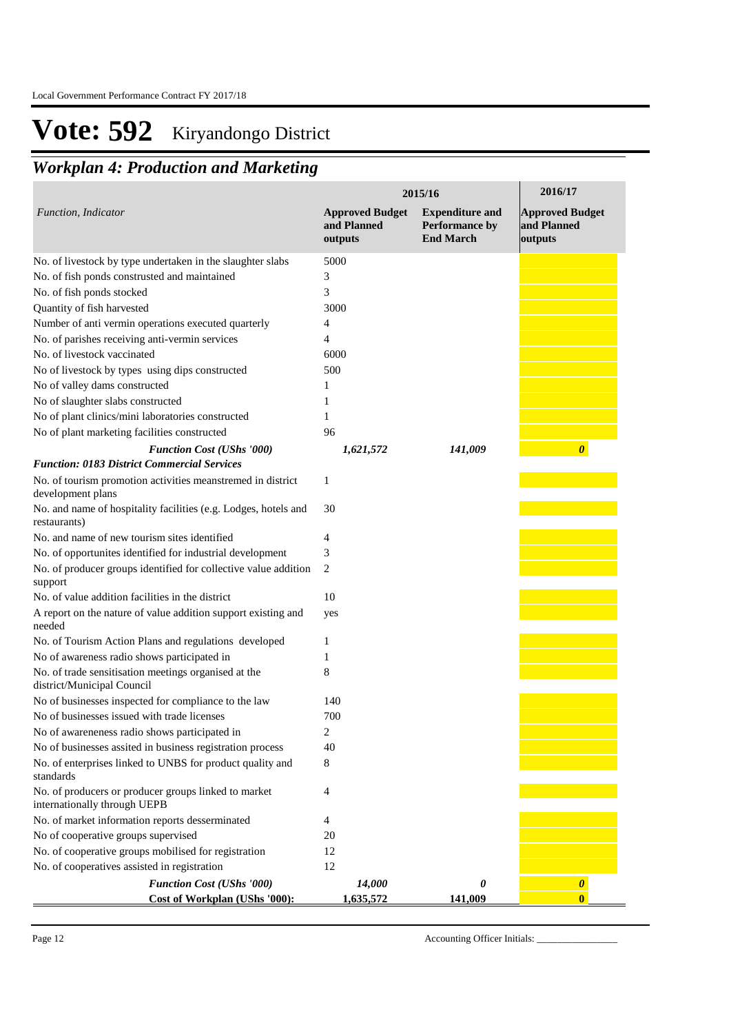# *Workplan 4: Production and Marketing*

|                                                                                      | 2015/16                                          | 2016/17                                                      |                                                  |
|--------------------------------------------------------------------------------------|--------------------------------------------------|--------------------------------------------------------------|--------------------------------------------------|
| Function, Indicator                                                                  | <b>Approved Budget</b><br>and Planned<br>outputs | <b>Expenditure and</b><br>Performance by<br><b>End March</b> | <b>Approved Budget</b><br>and Planned<br>outputs |
| No. of livestock by type undertaken in the slaughter slabs                           | 5000                                             |                                                              |                                                  |
| No. of fish ponds construsted and maintained                                         | 3                                                |                                                              |                                                  |
| No. of fish ponds stocked                                                            | 3                                                |                                                              |                                                  |
| Quantity of fish harvested                                                           | 3000                                             |                                                              |                                                  |
| Number of anti vermin operations executed quarterly                                  | 4                                                |                                                              |                                                  |
| No. of parishes receiving anti-vermin services                                       | 4                                                |                                                              |                                                  |
| No. of livestock vaccinated                                                          | 6000                                             |                                                              |                                                  |
| No of livestock by types using dips constructed                                      | 500                                              |                                                              |                                                  |
| No of valley dams constructed                                                        | 1                                                |                                                              |                                                  |
| No of slaughter slabs constructed                                                    | 1                                                |                                                              |                                                  |
| No of plant clinics/mini laboratories constructed                                    | 1                                                |                                                              |                                                  |
| No of plant marketing facilities constructed                                         | 96                                               |                                                              |                                                  |
| <b>Function Cost (UShs '000)</b>                                                     | 1,621,572                                        | 141,009                                                      | $\boldsymbol{\theta}$                            |
| <b>Function: 0183 District Commercial Services</b>                                   |                                                  |                                                              |                                                  |
| No. of tourism promotion activities meanstremed in district<br>development plans     | 1                                                |                                                              |                                                  |
| No. and name of hospitality facilities (e.g. Lodges, hotels and<br>restaurants)      | 30                                               |                                                              |                                                  |
| No. and name of new tourism sites identified                                         | 4                                                |                                                              |                                                  |
| No. of opportunites identified for industrial development                            | 3                                                |                                                              |                                                  |
| No. of producer groups identified for collective value addition<br>support           | 2                                                |                                                              |                                                  |
| No. of value addition facilities in the district                                     | 10                                               |                                                              |                                                  |
| A report on the nature of value addition support existing and<br>needed              | yes                                              |                                                              |                                                  |
| No. of Tourism Action Plans and regulations developed                                | 1                                                |                                                              |                                                  |
| No of awareness radio shows participated in                                          |                                                  |                                                              |                                                  |
| No. of trade sensitisation meetings organised at the<br>district/Municipal Council   | 8                                                |                                                              |                                                  |
| No of businesses inspected for compliance to the law                                 | 140                                              |                                                              |                                                  |
| No of businesses issued with trade licenses                                          | 700                                              |                                                              |                                                  |
| No of awareneness radio shows participated in                                        | 2                                                |                                                              |                                                  |
| No of businesses assited in business registration process                            | 40                                               |                                                              |                                                  |
| No. of enterprises linked to UNBS for product quality and<br>standards               | 8                                                |                                                              |                                                  |
| No. of producers or producer groups linked to market<br>internationally through UEPB | 4                                                |                                                              |                                                  |
| No. of market information reports desserminated                                      | 4                                                |                                                              |                                                  |
| No of cooperative groups supervised                                                  | 20                                               |                                                              |                                                  |
| No. of cooperative groups mobilised for registration                                 | 12                                               |                                                              |                                                  |
| No. of cooperatives assisted in registration                                         | 12                                               |                                                              |                                                  |
| <b>Function Cost (UShs '000)</b>                                                     | 14,000                                           | 0                                                            | $\boldsymbol{\theta}$                            |
| Cost of Workplan (UShs '000):                                                        | 1,635,572                                        | 141,009                                                      | $\bf{0}$                                         |

Page 12 Accounting Officer Initials: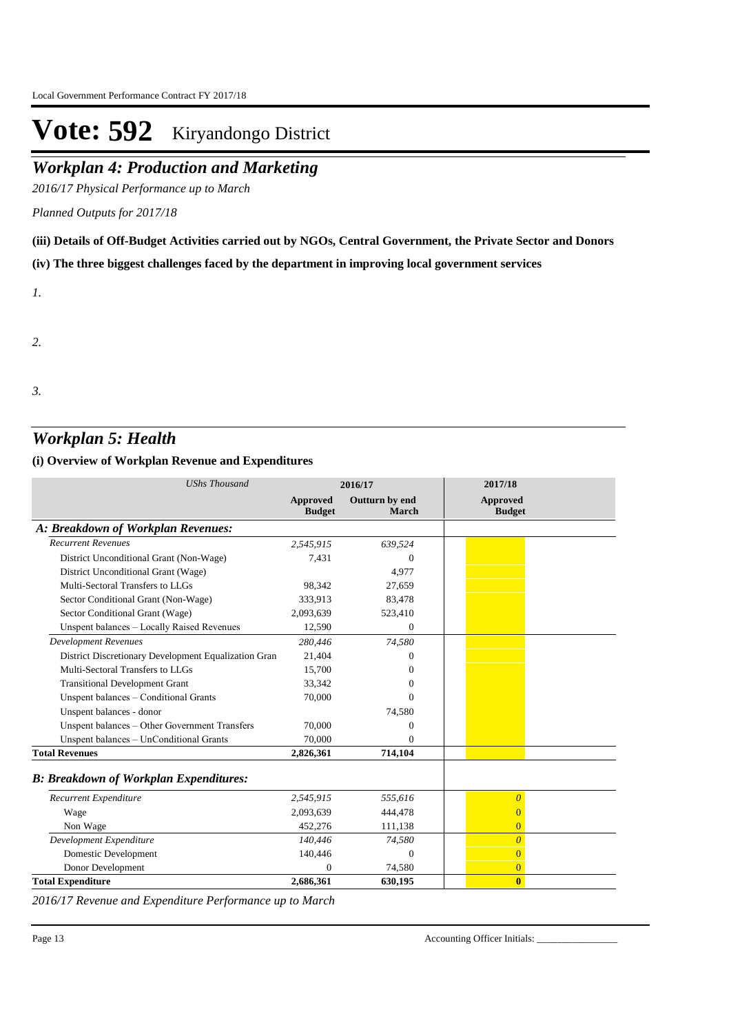## *Workplan 4: Production and Marketing*

*2016/17 Physical Performance up to March*

*Planned Outputs for 2017/18* 

**(iii) Details of Off-Budget Activities carried out by NGOs, Central Government, the Private Sector and Donors** 

**(iv) The three biggest challenges faced by the department in improving local government services**

*1.*

*2.*

*3.*

### *Workplan 5: Health*

#### **(i) Overview of Workplan Revenue and Expenditures**

| <b>UShs Thousand</b>                                 |                                  | 2016/17                 | 2017/18                          |  |
|------------------------------------------------------|----------------------------------|-------------------------|----------------------------------|--|
|                                                      | <b>Approved</b><br><b>Budget</b> | Outturn by end<br>March | <b>Approved</b><br><b>Budget</b> |  |
| A: Breakdown of Workplan Revenues:                   |                                  |                         |                                  |  |
| <b>Recurrent Revenues</b>                            | 2,545,915                        | 639,524                 |                                  |  |
| District Unconditional Grant (Non-Wage)              | 7,431                            | $\Omega$                |                                  |  |
| District Unconditional Grant (Wage)                  |                                  | 4,977                   |                                  |  |
| Multi-Sectoral Transfers to LLGs                     | 98,342                           | 27,659                  |                                  |  |
| Sector Conditional Grant (Non-Wage)                  | 333,913                          | 83,478                  |                                  |  |
| Sector Conditional Grant (Wage)                      | 2,093,639                        | 523,410                 |                                  |  |
| Unspent balances - Locally Raised Revenues           | 12,590                           | $\mathbf{0}$            |                                  |  |
| <b>Development Revenues</b>                          | 280,446                          | 74,580                  |                                  |  |
| District Discretionary Development Equalization Gran | 21,404                           | $\Omega$                |                                  |  |
| Multi-Sectoral Transfers to LLGs                     | 15,700                           | $\Omega$                |                                  |  |
| <b>Transitional Development Grant</b>                | 33,342                           | $\Omega$                |                                  |  |
| Unspent balances - Conditional Grants                | 70,000                           | $\Omega$                |                                  |  |
| Unspent balances - donor                             |                                  | 74,580                  |                                  |  |
| Unspent balances - Other Government Transfers        | 70,000                           | $\Omega$                |                                  |  |
| Unspent balances - UnConditional Grants              | 70,000                           | $\Omega$                |                                  |  |
| <b>Total Revenues</b>                                | 2,826,361                        | 714,104                 |                                  |  |
| <b>B: Breakdown of Workplan Expenditures:</b>        |                                  |                         |                                  |  |
| Recurrent Expenditure                                | 2,545,915                        | 555,616                 | $\overline{\theta}$              |  |
| Wage                                                 | 2.093.639                        | 444,478                 | $\overline{0}$                   |  |
| Non Wage                                             | 452,276                          | 111,138                 | $\overline{0}$                   |  |
| Development Expenditure                              | 140,446                          | 74,580                  | $\overline{0}$                   |  |
| Domestic Development                                 | 140,446                          | $\Omega$                | $\overline{0}$                   |  |
| Donor Development                                    | $\Omega$                         | 74,580                  | $\overline{0}$                   |  |
| <b>Total Expenditure</b>                             | 2,686,361                        | 630,195                 | $\bf{0}$                         |  |

*2016/17 Revenue and Expenditure Performance up to March*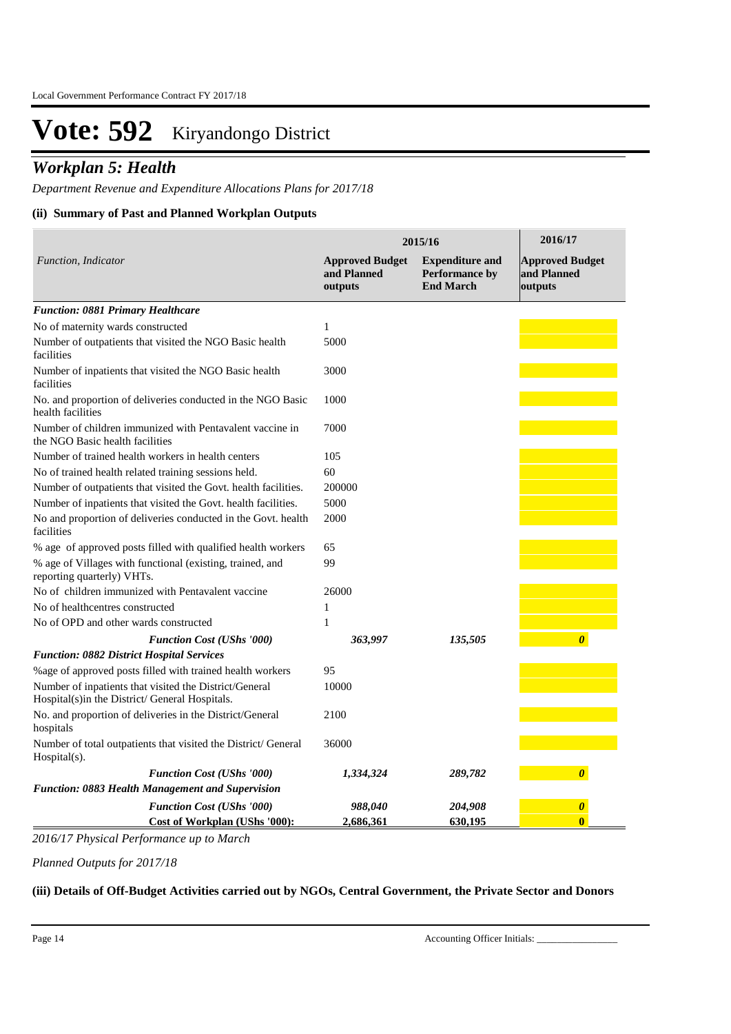### *Workplan 5: Health*

*Department Revenue and Expenditure Allocations Plans for 2017/18*

#### **(ii) Summary of Past and Planned Workplan Outputs**

|                                                                                                          | 2015/16                                          | 2016/17                                                      |                                                  |
|----------------------------------------------------------------------------------------------------------|--------------------------------------------------|--------------------------------------------------------------|--------------------------------------------------|
| Function, Indicator                                                                                      | <b>Approved Budget</b><br>and Planned<br>outputs | <b>Expenditure and</b><br>Performance by<br><b>End March</b> | <b>Approved Budget</b><br>and Planned<br>outputs |
| <b>Function: 0881 Primary Healthcare</b>                                                                 |                                                  |                                                              |                                                  |
| No of maternity wards constructed                                                                        | 1                                                |                                                              |                                                  |
| Number of outpatients that visited the NGO Basic health<br>facilities                                    | 5000                                             |                                                              |                                                  |
| Number of inpatients that visited the NGO Basic health<br>facilities                                     | 3000                                             |                                                              |                                                  |
| No. and proportion of deliveries conducted in the NGO Basic<br>health facilities                         | 1000                                             |                                                              |                                                  |
| Number of children immunized with Pentavalent vaccine in<br>the NGO Basic health facilities              | 7000                                             |                                                              |                                                  |
| Number of trained health workers in health centers                                                       | 105                                              |                                                              |                                                  |
| No of trained health related training sessions held.                                                     | 60                                               |                                                              |                                                  |
| Number of outpatients that visited the Govt. health facilities.                                          | 200000                                           |                                                              |                                                  |
| Number of inpatients that visited the Govt. health facilities.                                           | 5000                                             |                                                              |                                                  |
| No and proportion of deliveries conducted in the Govt. health<br>facilities                              | 2000                                             |                                                              |                                                  |
| % age of approved posts filled with qualified health workers                                             | 65                                               |                                                              |                                                  |
| % age of Villages with functional (existing, trained, and<br>reporting quarterly) VHTs.                  | 99                                               |                                                              |                                                  |
| No of children immunized with Pentavalent vaccine                                                        | 26000                                            |                                                              |                                                  |
| No of healthcentres constructed                                                                          | 1                                                |                                                              |                                                  |
| No of OPD and other wards constructed                                                                    | 1                                                |                                                              |                                                  |
| <b>Function Cost (UShs '000)</b>                                                                         | 363,997                                          | 135,505                                                      | $\boldsymbol{\theta}$                            |
| <b>Function: 0882 District Hospital Services</b>                                                         |                                                  |                                                              |                                                  |
| %age of approved posts filled with trained health workers                                                | 95                                               |                                                              |                                                  |
| Number of inpatients that visited the District/General<br>Hospital(s)in the District/ General Hospitals. | 10000                                            |                                                              |                                                  |
| No. and proportion of deliveries in the District/General<br>hospitals                                    | 2100                                             |                                                              |                                                  |
| Number of total outpatients that visited the District/ General<br>Hospital(s).                           | 36000                                            |                                                              |                                                  |
| <b>Function Cost (UShs '000)</b>                                                                         | 1,334,324                                        | 289,782                                                      | $\boldsymbol{\theta}$                            |
| <b>Function: 0883 Health Management and Supervision</b>                                                  |                                                  |                                                              |                                                  |
| <b>Function Cost (UShs '000)</b>                                                                         | 988,040                                          | 204,908                                                      | $\boldsymbol{\theta}$                            |
| Cost of Workplan (UShs '000):                                                                            | 2,686,361                                        | 630,195                                                      | $\bf{0}$                                         |

*2016/17 Physical Performance up to March*

*Planned Outputs for 2017/18* 

#### **(iii) Details of Off-Budget Activities carried out by NGOs, Central Government, the Private Sector and Donors**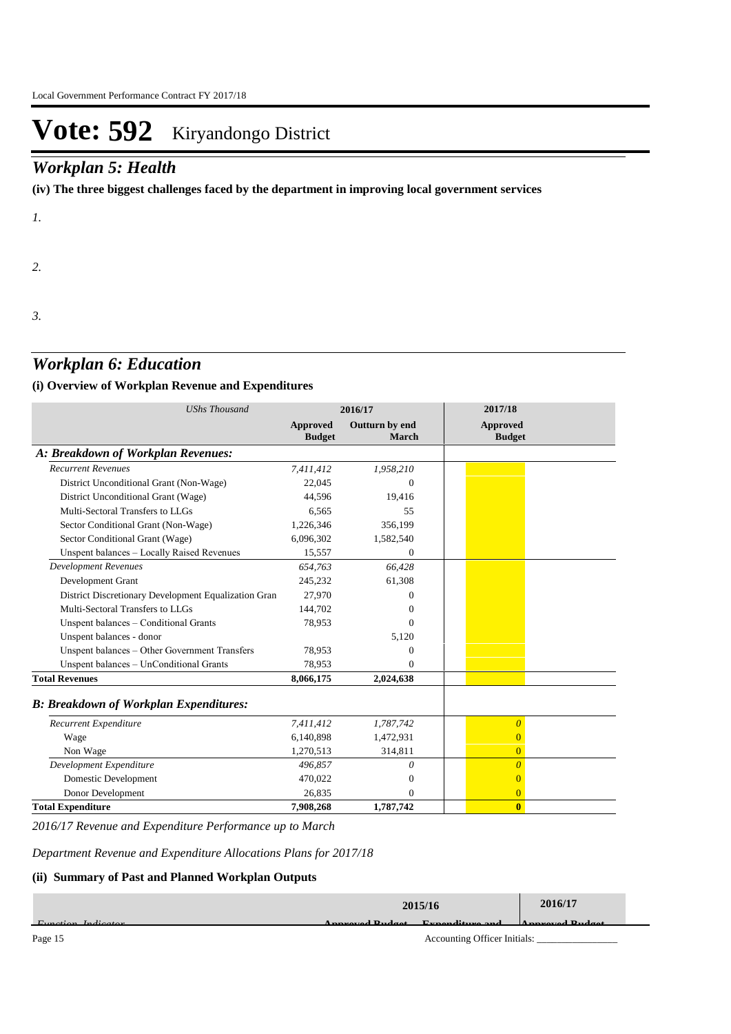### *Workplan 5: Health*

**(iv) The three biggest challenges faced by the department in improving local government services**

*1.*

*2.*

*3.*

### *Workplan 6: Education*

#### **(i) Overview of Workplan Revenue and Expenditures**

| <b>UShs Thousand</b>                                 | 2016/17                          |                                | 2017/18                          |
|------------------------------------------------------|----------------------------------|--------------------------------|----------------------------------|
|                                                      | <b>Approved</b><br><b>Budget</b> | Outturn by end<br><b>March</b> | <b>Approved</b><br><b>Budget</b> |
| A: Breakdown of Workplan Revenues:                   |                                  |                                |                                  |
| <b>Recurrent Revenues</b>                            | 7,411,412                        | 1,958,210                      |                                  |
| District Unconditional Grant (Non-Wage)              | 22,045                           | $\Omega$                       |                                  |
| District Unconditional Grant (Wage)                  | 44,596                           | 19,416                         |                                  |
| Multi-Sectoral Transfers to LLGs                     | 6.565                            | 55                             |                                  |
| Sector Conditional Grant (Non-Wage)                  | 1,226,346                        | 356,199                        |                                  |
| Sector Conditional Grant (Wage)                      | 6,096,302                        | 1,582,540                      |                                  |
| Unspent balances - Locally Raised Revenues           | 15,557                           | $\Omega$                       |                                  |
| <b>Development Revenues</b>                          | 654.763                          | 66,428                         |                                  |
| Development Grant                                    | 245.232                          | 61,308                         |                                  |
| District Discretionary Development Equalization Gran | 27,970                           | $\Omega$                       |                                  |
| Multi-Sectoral Transfers to LLGs                     | 144,702                          | $^{(1)}$                       |                                  |
| Unspent balances - Conditional Grants                | 78,953                           | $\Omega$                       |                                  |
| Unspent balances - donor                             |                                  | 5,120                          |                                  |
| Unspent balances - Other Government Transfers        | 78,953                           | $\Omega$                       |                                  |
| Unspent balances - UnConditional Grants              | 78,953                           | $\Omega$                       |                                  |
| <b>Total Revenues</b>                                | 8,066,175                        | 2,024,638                      |                                  |
| <b>B: Breakdown of Workplan Expenditures:</b>        |                                  |                                |                                  |
| Recurrent Expenditure                                | 7,411,412                        | 1,787,742                      | $\boldsymbol{\theta}$            |
| Wage                                                 | 6,140,898                        | 1,472,931                      | $\overline{0}$                   |
| Non Wage                                             | 1,270,513                        | 314,811                        | $\overline{0}$                   |
| Development Expenditure                              | 496,857                          | 0                              | $\overline{\theta}$              |
| Domestic Development                                 | 470,022                          | $\mathbf{0}$                   | $\overline{0}$                   |
| Donor Development                                    | 26,835                           | $\Omega$                       | $\overline{0}$                   |
| <b>Total Expenditure</b>                             | 7,908,268                        | 1,787,742                      | $\mathbf{0}$                     |

*2016/17 Revenue and Expenditure Performance up to March*

*Department Revenue and Expenditure Allocations Plans for 2017/18*

#### **(ii) Summary of Past and Planned Workplan Outputs**

|                    | 2015/16                                                         | 2016/17              |  |
|--------------------|-----------------------------------------------------------------|----------------------|--|
| Eugetian Indianter | $E$ <sub>rm</sub> and $\mathbf{i}$ turn and<br>Annuaried Dudget | $A$ numerical Dudget |  |
| Page 15            | Accounting Officer Initials:                                    |                      |  |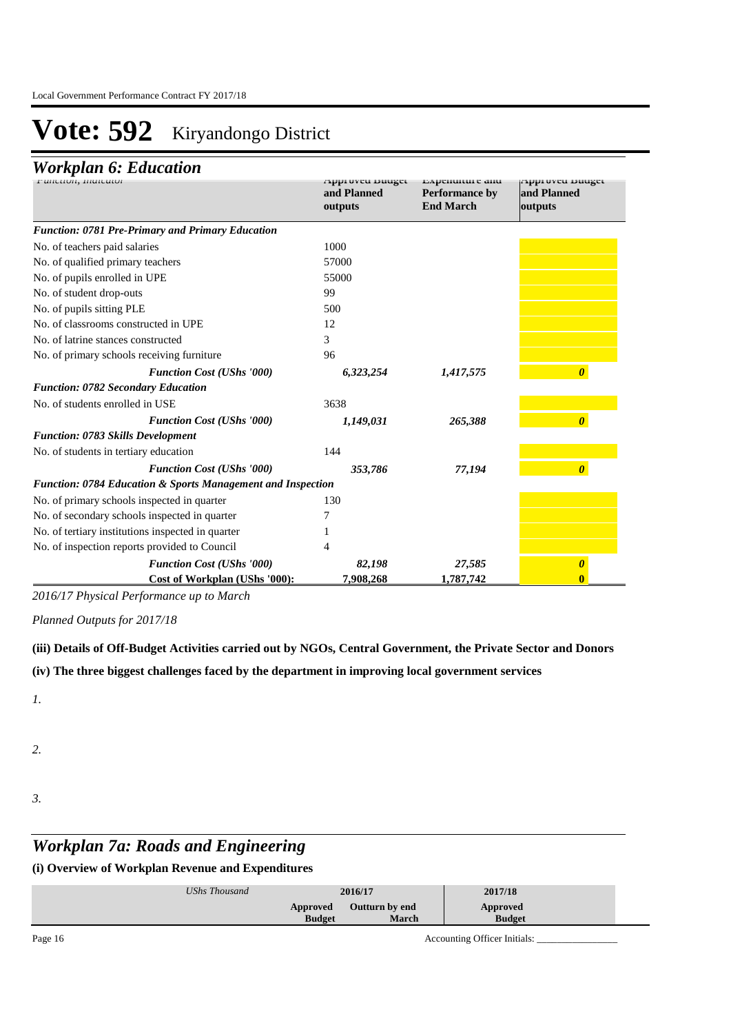### *Workplan 6: Education*

| r uncuon, maicator                                                     | Approved Duuget<br>and Planned<br>outputs | влренините ани<br><b>Performance by</b><br><b>End March</b> | Approved Duuget<br>and Planned<br>outputs |
|------------------------------------------------------------------------|-------------------------------------------|-------------------------------------------------------------|-------------------------------------------|
| <b>Function: 0781 Pre-Primary and Primary Education</b>                |                                           |                                                             |                                           |
| No. of teachers paid salaries                                          | 1000                                      |                                                             |                                           |
| No. of qualified primary teachers                                      | 57000                                     |                                                             |                                           |
| No. of pupils enrolled in UPE                                          | 55000                                     |                                                             |                                           |
| No. of student drop-outs                                               | 99                                        |                                                             |                                           |
| No. of pupils sitting PLE                                              | 500                                       |                                                             |                                           |
| No. of classrooms constructed in UPE                                   | 12                                        |                                                             |                                           |
| No. of latrine stances constructed                                     | 3                                         |                                                             |                                           |
| No. of primary schools receiving furniture                             | 96                                        |                                                             |                                           |
| <b>Function Cost (UShs '000)</b>                                       | 6,323,254                                 | 1,417,575                                                   | $\boldsymbol{\theta}$                     |
| <b>Function: 0782 Secondary Education</b>                              |                                           |                                                             |                                           |
| No. of students enrolled in USE                                        | 3638                                      |                                                             |                                           |
| <b>Function Cost (UShs '000)</b>                                       | 1,149,031                                 | 265,388                                                     | $\boldsymbol{\theta}$                     |
| <b>Function: 0783 Skills Development</b>                               |                                           |                                                             |                                           |
| No. of students in tertiary education                                  | 144                                       |                                                             |                                           |
| <b>Function Cost (UShs '000)</b>                                       | 353,786                                   | 77,194                                                      | $\boldsymbol{\theta}$                     |
| <b>Function: 0784 Education &amp; Sports Management and Inspection</b> |                                           |                                                             |                                           |
| No. of primary schools inspected in quarter                            | 130                                       |                                                             |                                           |
| No. of secondary schools inspected in quarter                          |                                           |                                                             |                                           |
| No. of tertiary institutions inspected in quarter                      |                                           |                                                             |                                           |
| No. of inspection reports provided to Council                          |                                           |                                                             |                                           |
| <b>Function Cost (UShs '000)</b>                                       | 82,198                                    | 27,585                                                      | $\boldsymbol{\theta}$                     |
| Cost of Workplan (UShs '000):                                          | 7,908,268                                 | 1,787,742                                                   |                                           |

*2016/17 Physical Performance up to March*

*Planned Outputs for 2017/18* 

**(iii) Details of Off-Budget Activities carried out by NGOs, Central Government, the Private Sector and Donors** 

**(iv) The three biggest challenges faced by the department in improving local government services**

*1.*

*2.*

*3.*

# *Workplan 7a: Roads and Engineering*

| UShs Thousand | 2016/17       |                | 2017/18       |  |
|---------------|---------------|----------------|---------------|--|
|               | Approved      | Outturn by end | Approved      |  |
|               | <b>Budget</b> | <b>March</b>   | <b>Budget</b> |  |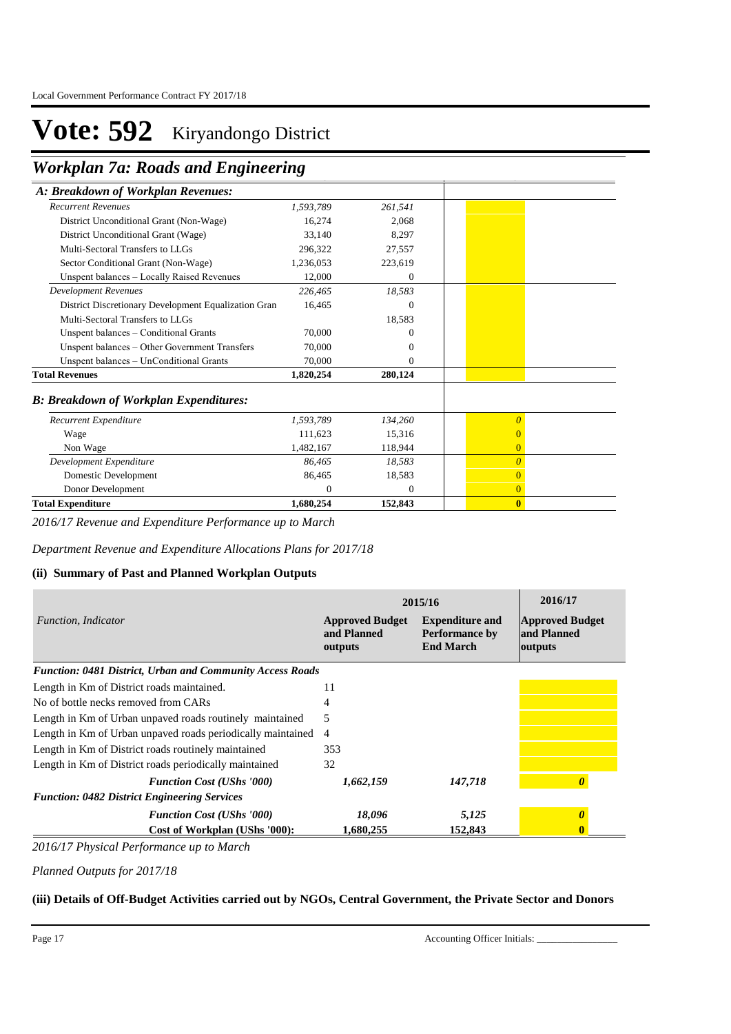**Workplan 7a: Roads and Engineering** 

| A: Breakdown of Workplan Revenues:                   |           |              |                |
|------------------------------------------------------|-----------|--------------|----------------|
| <b>Recurrent Revenues</b>                            | 1,593,789 | 261,541      |                |
| District Unconditional Grant (Non-Wage)              | 16,274    | 2,068        |                |
| District Unconditional Grant (Wage)                  | 33.140    | 8.297        |                |
| Multi-Sectoral Transfers to LLGs                     | 296,322   | 27,557       |                |
| Sector Conditional Grant (Non-Wage)                  | 1,236,053 | 223,619      |                |
| Unspent balances - Locally Raised Revenues           | 12,000    | $\mathbf{0}$ |                |
| <b>Development Revenues</b>                          | 226,465   | 18,583       |                |
| District Discretionary Development Equalization Gran | 16,465    | $\Omega$     |                |
| Multi-Sectoral Transfers to LLGs                     |           | 18,583       |                |
| Unspent balances - Conditional Grants                | 70,000    | 0            |                |
| Unspent balances – Other Government Transfers        | 70,000    | $\Omega$     |                |
| Unspent balances - UnConditional Grants              | 70,000    | $\Omega$     |                |
| <b>Total Revenues</b>                                | 1,820,254 | 280,124      |                |
| <b>B: Breakdown of Workplan Expenditures:</b>        |           |              |                |
| Recurrent Expenditure                                | 1,593,789 | 134,260      | $\theta$       |
| Wage                                                 | 111.623   | 15,316       | $\Omega$       |
| Non Wage                                             | 1,482,167 | 118,944      | $\overline{0}$ |
| Development Expenditure                              | 86,465    | 18,583       | $\Omega$       |
| Domestic Development                                 | 86,465    | 18,583       | $\overline{0}$ |
| Donor Development                                    | $\Omega$  | $\mathbf{0}$ | $\overline{0}$ |
| <b>Total Expenditure</b>                             | 1,680,254 | 152,843      | $\bf{0}$       |

*2016/17 Revenue and Expenditure Performance up to March*

*Department Revenue and Expenditure Allocations Plans for 2017/18*

#### **(ii) Summary of Past and Planned Workplan Outputs**

|                                                                  | 2015/16                                          | 2016/17                                                             |                                                  |
|------------------------------------------------------------------|--------------------------------------------------|---------------------------------------------------------------------|--------------------------------------------------|
| Function, Indicator                                              | <b>Approved Budget</b><br>and Planned<br>outputs | <b>Expenditure and</b><br><b>Performance by</b><br><b>End March</b> | <b>Approved Budget</b><br>and Planned<br>outputs |
| <b>Function: 0481 District, Urban and Community Access Roads</b> |                                                  |                                                                     |                                                  |
| Length in Km of District roads maintained.                       | 11                                               |                                                                     |                                                  |
| No of bottle necks removed from CARs                             | 4                                                |                                                                     |                                                  |
| Length in Km of Urban unpaved roads routinely maintained         | 5                                                |                                                                     |                                                  |
| Length in Km of Urban unpaved roads periodically maintained      | 4                                                |                                                                     |                                                  |
| Length in Km of District roads routinely maintained              | 353                                              |                                                                     |                                                  |
| Length in Km of District roads periodically maintained           | 32                                               |                                                                     |                                                  |
| <b>Function Cost (UShs '000)</b>                                 | 1,662,159                                        | 147.718                                                             | $\boldsymbol{\theta}$                            |
| <b>Function: 0482 District Engineering Services</b>              |                                                  |                                                                     |                                                  |
| <b>Function Cost (UShs '000)</b>                                 | 18,096                                           | 5,125                                                               | <sub>0</sub>                                     |
| Cost of Workplan (UShs '000):                                    | 1,680,255                                        | 152.843                                                             | 0                                                |

*2016/17 Physical Performance up to March*

*Planned Outputs for 2017/18* 

#### **(iii) Details of Off-Budget Activities carried out by NGOs, Central Government, the Private Sector and Donors**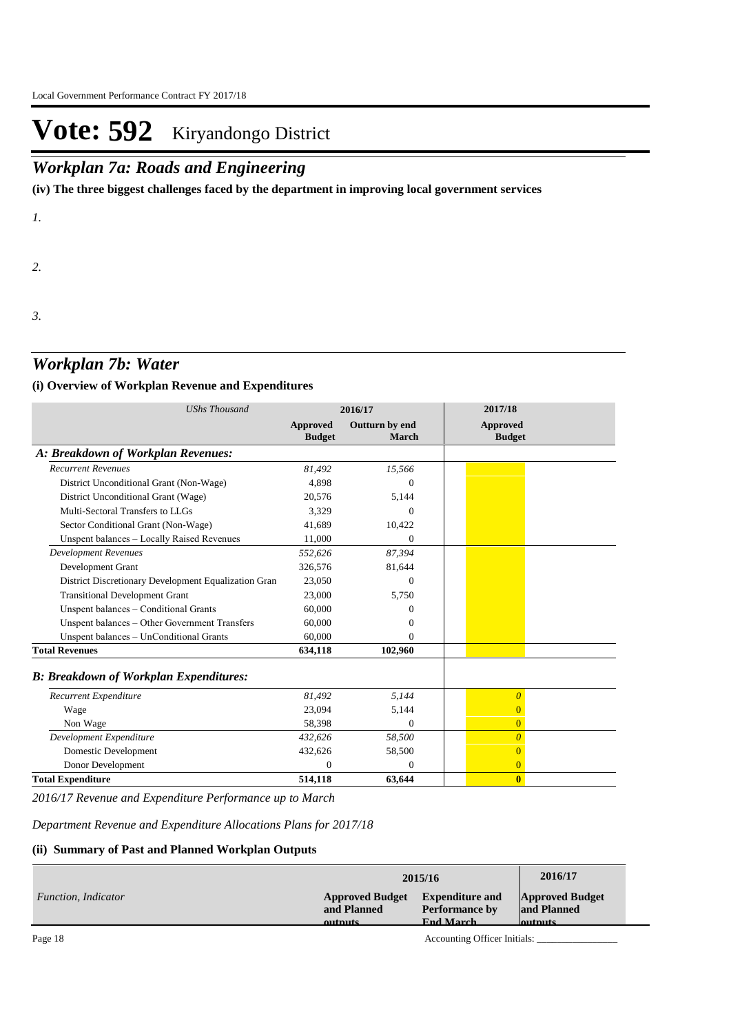### *Workplan 7a: Roads and Engineering*

**(iv) The three biggest challenges faced by the department in improving local government services**

*1.*

*2.*

*3.*

### *Workplan 7b: Water*

#### **(i) Overview of Workplan Revenue and Expenditures**

| <b>UShs Thousand</b>                                 |                           | 2016/17                 | 2017/18                          |
|------------------------------------------------------|---------------------------|-------------------------|----------------------------------|
|                                                      | Approved<br><b>Budget</b> | Outturn by end<br>March | <b>Approved</b><br><b>Budget</b> |
| A: Breakdown of Workplan Revenues:                   |                           |                         |                                  |
| <b>Recurrent Revenues</b>                            | 81.492                    | 15,566                  |                                  |
| District Unconditional Grant (Non-Wage)              | 4,898                     | $\Omega$                |                                  |
| District Unconditional Grant (Wage)                  | 20,576                    | 5,144                   |                                  |
| Multi-Sectoral Transfers to LLGs                     | 3.329                     | $\Omega$                |                                  |
| Sector Conditional Grant (Non-Wage)                  | 41,689                    | 10,422                  |                                  |
| Unspent balances - Locally Raised Revenues           | 11,000                    | $\Omega$                |                                  |
| <b>Development Revenues</b>                          | 552,626                   | 87,394                  |                                  |
| Development Grant                                    | 326,576                   | 81,644                  |                                  |
| District Discretionary Development Equalization Gran | 23,050                    | $\Omega$                |                                  |
| <b>Transitional Development Grant</b>                | 23,000                    | 5,750                   |                                  |
| Unspent balances - Conditional Grants                | 60,000                    | $\Omega$                |                                  |
| Unspent balances - Other Government Transfers        | 60,000                    | $\Omega$                |                                  |
| Unspent balances - UnConditional Grants              | 60,000                    | $\Omega$                |                                  |
| <b>Total Revenues</b>                                | 634,118                   | 102,960                 |                                  |
| <b>B: Breakdown of Workplan Expenditures:</b>        |                           |                         |                                  |
| Recurrent Expenditure                                | 81,492                    | 5,144                   | $\overline{\theta}$              |
| Wage                                                 | 23,094                    | 5,144                   | $\overline{0}$                   |
| Non Wage                                             | 58,398                    | $\Omega$                | $\overline{0}$                   |
| Development Expenditure                              | 432,626                   | 58,500                  | $\overline{0}$                   |
| Domestic Development                                 | 432,626                   | 58,500                  | $\overline{0}$                   |
| Donor Development                                    | $\Omega$                  | $\Omega$                | $\overline{0}$                   |
| <b>Total Expenditure</b>                             | 514,118                   | 63,644                  | $\bf{0}$                         |

*2016/17 Revenue and Expenditure Performance up to March*

*Department Revenue and Expenditure Allocations Plans for 2017/18*

#### **(ii) Summary of Past and Planned Workplan Outputs**

|                            |                        | 2015/16                |                        |  |
|----------------------------|------------------------|------------------------|------------------------|--|
| <i>Function, Indicator</i> | <b>Approved Budget</b> | <b>Expenditure and</b> | <b>Approved Budget</b> |  |
|                            | and Planned            | <b>Performance by</b>  | and Planned            |  |
|                            | outpute                | <b>Fnd March</b>       | <b>Autoute</b>         |  |

Page 18 Accounting Officer Initials: \_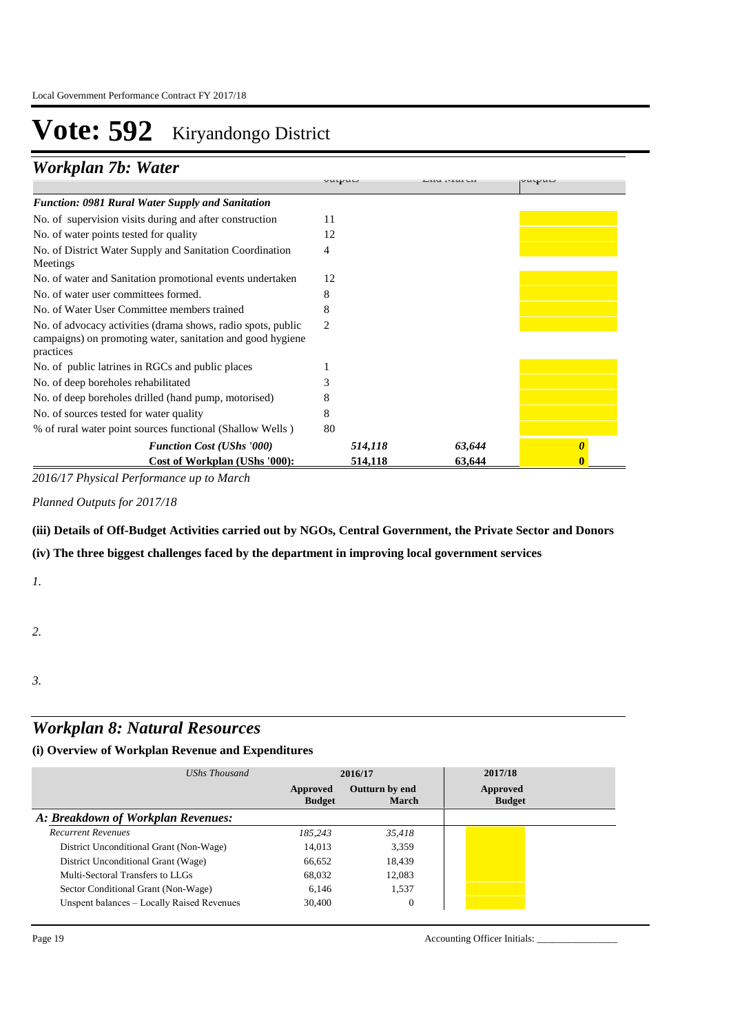### *Workplan 7b: Water*

|                                                                                                                                         | <b>ULLUVLLUJ</b> | <b>LIZZU ITEMI VIZ</b> | しいしいいい |
|-----------------------------------------------------------------------------------------------------------------------------------------|------------------|------------------------|--------|
| <b>Function: 0981 Rural Water Supply and Sanitation</b>                                                                                 |                  |                        |        |
| No. of supervision visits during and after construction                                                                                 | 11               |                        |        |
| No. of water points tested for quality                                                                                                  | 12               |                        |        |
| No. of District Water Supply and Sanitation Coordination<br>Meetings                                                                    | 4                |                        |        |
| No. of water and Sanitation promotional events undertaken                                                                               | 12               |                        |        |
| No. of water user committees formed.                                                                                                    | 8                |                        |        |
| No. of Water User Committee members trained                                                                                             | 8                |                        |        |
| No. of advocacy activities (drama shows, radio spots, public<br>campaigns) on promoting water, sanitation and good hygiene<br>practices | 2                |                        |        |
| No. of public latrines in RGCs and public places                                                                                        |                  |                        |        |
| No. of deep boreholes rehabilitated                                                                                                     |                  |                        |        |
| No. of deep boreholes drilled (hand pump, motorised)                                                                                    |                  |                        |        |
| No. of sources tested for water quality                                                                                                 | 8                |                        |        |
| % of rural water point sources functional (Shallow Wells)                                                                               | 80               |                        |        |
| <b>Function Cost (UShs '000)</b>                                                                                                        | 514,118          | 63,644                 |        |
| Cost of Workplan (UShs '000):                                                                                                           | 514,118          | 63,644                 |        |

**Approved Budget** 

**Expenditure and** 

**Approved Budget** 

*2016/17 Physical Performance up to March*

*Planned Outputs for 2017/18* 

**(iii) Details of Off-Budget Activities carried out by NGOs, Central Government, the Private Sector and Donors** 

**(iv) The three biggest challenges faced by the department in improving local government services**

*1.*

*2.*

*3.*

### *Workplan 8: Natural Resources*

| UShs Thousand                              |                           | 2016/17                 | 2017/18                   |  |
|--------------------------------------------|---------------------------|-------------------------|---------------------------|--|
|                                            | Approved<br><b>Budget</b> | Outturn by end<br>March | Approved<br><b>Budget</b> |  |
| A: Breakdown of Workplan Revenues:         |                           |                         |                           |  |
| <b>Recurrent Revenues</b>                  | 185.243                   | 35.418                  |                           |  |
| District Unconditional Grant (Non-Wage)    | 14,013                    | 3.359                   |                           |  |
| District Unconditional Grant (Wage)        | 66,652                    | 18,439                  |                           |  |
| Multi-Sectoral Transfers to LLGs           | 68,032                    | 12,083                  |                           |  |
| Sector Conditional Grant (Non-Wage)        | 6.146                     | 1.537                   |                           |  |
| Unspent balances - Locally Raised Revenues | 30,400                    | $\mathbf{0}$            |                           |  |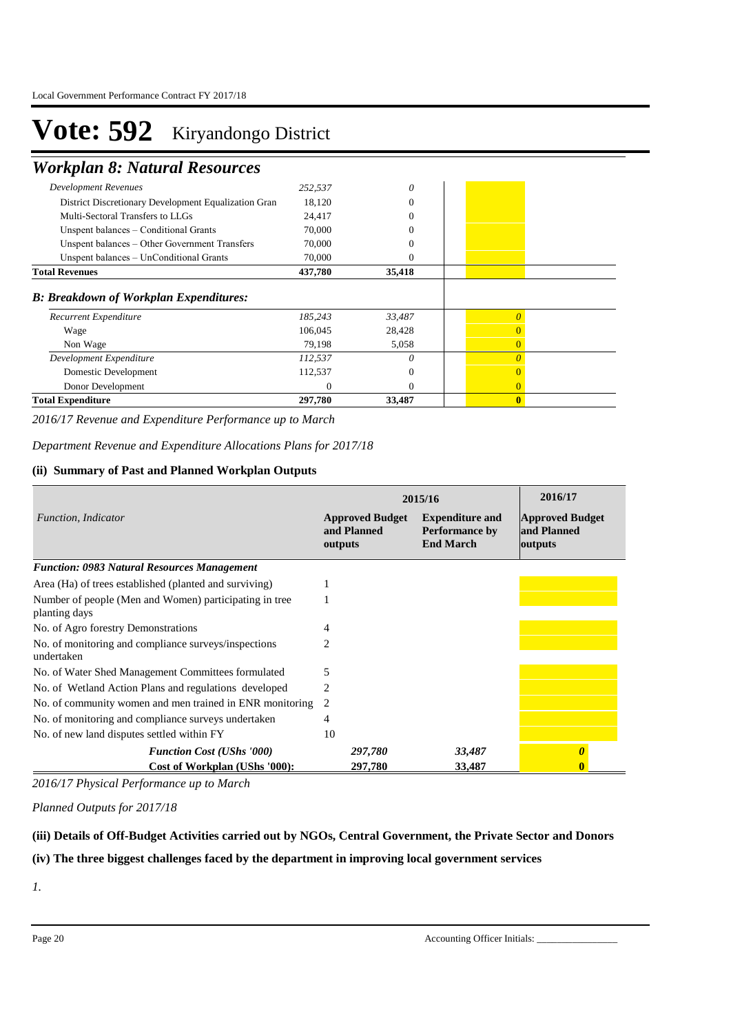### *Workplan 8: Natural Resources*

| Non Wage<br>Development Expenditure<br>Domestic Development<br>Donor Development | 79,198<br>112,537<br>112,537<br>$\Omega$ | 5,058<br>0<br>0<br>0 | $\theta$<br>$\Omega$ |  |
|----------------------------------------------------------------------------------|------------------------------------------|----------------------|----------------------|--|
|                                                                                  |                                          |                      |                      |  |
|                                                                                  |                                          |                      |                      |  |
|                                                                                  |                                          |                      |                      |  |
|                                                                                  |                                          |                      | $\overline{0}$       |  |
| Wage                                                                             | 106,045                                  | 28,428               |                      |  |
| Recurrent Expenditure                                                            | 185,243                                  | 33,487               |                      |  |
| <b>B: Breakdown of Workplan Expenditures:</b>                                    |                                          |                      |                      |  |
| <b>Total Revenues</b>                                                            | 437,780                                  | 35,418               |                      |  |
| Unspent balances - UnConditional Grants                                          | 70,000                                   | 0                    |                      |  |
| Unspent balances – Other Government Transfers                                    | 70,000                                   |                      |                      |  |
| Unspent balances – Conditional Grants                                            | 70,000                                   | 0                    |                      |  |
| Multi-Sectoral Transfers to LLGs                                                 | 24,417                                   | 0                    |                      |  |
| District Discretionary Development Equalization Gran                             | 18,120                                   | $\theta$             |                      |  |
|                                                                                  | 252,537                                  | 0                    |                      |  |
| <b>Development Revenues</b>                                                      |                                          |                      |                      |  |

*2016/17 Revenue and Expenditure Performance up to March*

*Department Revenue and Expenditure Allocations Plans for 2017/18*

#### **(ii) Summary of Past and Planned Workplan Outputs**

|                                                                         |                                                  | 2015/16                                                             | 2016/17                                          |
|-------------------------------------------------------------------------|--------------------------------------------------|---------------------------------------------------------------------|--------------------------------------------------|
| Function, Indicator                                                     | <b>Approved Budget</b><br>and Planned<br>outputs | <b>Expenditure and</b><br><b>Performance by</b><br><b>End March</b> | <b>Approved Budget</b><br>and Planned<br>outputs |
| <b>Function: 0983 Natural Resources Management</b>                      |                                                  |                                                                     |                                                  |
| Area (Ha) of trees established (planted and surviving)                  |                                                  |                                                                     |                                                  |
| Number of people (Men and Women) participating in tree<br>planting days |                                                  |                                                                     |                                                  |
| No. of Agro forestry Demonstrations                                     | 4                                                |                                                                     |                                                  |
| No. of monitoring and compliance surveys/inspections<br>undertaken      | 2                                                |                                                                     |                                                  |
| No. of Water Shed Management Committees formulated                      | 5                                                |                                                                     |                                                  |
| No. of Wetland Action Plans and regulations developed                   |                                                  |                                                                     |                                                  |
| No. of community women and men trained in ENR monitoring                | 2                                                |                                                                     |                                                  |
| No. of monitoring and compliance surveys undertaken                     | 4                                                |                                                                     |                                                  |
| No. of new land disputes settled within FY                              | 10                                               |                                                                     |                                                  |
| <b>Function Cost (UShs '000)</b>                                        | 297,780                                          | 33,487                                                              | $\boldsymbol{\theta}$                            |
| <b>Cost of Workplan (UShs '000):</b>                                    | 297,780                                          | 33,487                                                              |                                                  |

*2016/17 Physical Performance up to March*

*Planned Outputs for 2017/18* 

#### **(iii) Details of Off-Budget Activities carried out by NGOs, Central Government, the Private Sector and Donors**

**(iv) The three biggest challenges faced by the department in improving local government services**

*1.*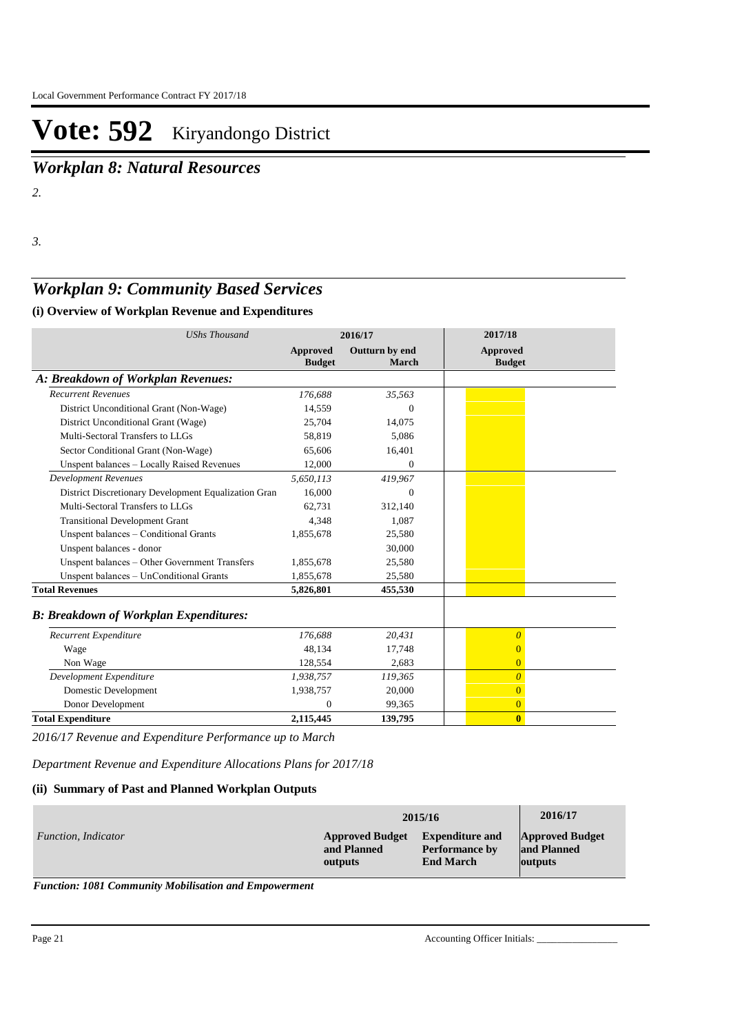*Workplan 8: Natural Resources*

*2.*

*3.*

### *Workplan 9: Community Based Services*

#### **(i) Overview of Workplan Revenue and Expenditures**

| <b>UShs Thousand</b>                                 |                           | 2016/17                 | 2017/18                          |  |
|------------------------------------------------------|---------------------------|-------------------------|----------------------------------|--|
|                                                      | Approved<br><b>Budget</b> | Outturn by end<br>March | <b>Approved</b><br><b>Budget</b> |  |
| A: Breakdown of Workplan Revenues:                   |                           |                         |                                  |  |
| <b>Recurrent Revenues</b>                            | 176,688                   | 35,563                  |                                  |  |
| District Unconditional Grant (Non-Wage)              | 14,559                    | $\Omega$                |                                  |  |
| District Unconditional Grant (Wage)                  | 25,704                    | 14,075                  |                                  |  |
| Multi-Sectoral Transfers to LLGs                     | 58,819                    | 5,086                   |                                  |  |
| Sector Conditional Grant (Non-Wage)                  | 65,606                    | 16,401                  |                                  |  |
| Unspent balances - Locally Raised Revenues           | 12,000                    | $\overline{0}$          |                                  |  |
| <b>Development Revenues</b>                          | 5,650,113                 | 419,967                 |                                  |  |
| District Discretionary Development Equalization Gran | 16,000                    | $\Omega$                |                                  |  |
| Multi-Sectoral Transfers to LLGs                     | 62,731                    | 312,140                 |                                  |  |
| <b>Transitional Development Grant</b>                | 4,348                     | 1,087                   |                                  |  |
| Unspent balances - Conditional Grants                | 1,855,678                 | 25,580                  |                                  |  |
| Unspent balances - donor                             |                           | 30,000                  |                                  |  |
| Unspent balances - Other Government Transfers        | 1,855,678                 | 25,580                  |                                  |  |
| Unspent balances - UnConditional Grants              | 1,855,678                 | 25,580                  |                                  |  |
| <b>Total Revenues</b>                                | 5,826,801                 | 455,530                 |                                  |  |
| <b>B: Breakdown of Workplan Expenditures:</b>        |                           |                         |                                  |  |
| Recurrent Expenditure                                | 176.688                   | 20,431                  | $\overline{0}$                   |  |
| Wage                                                 | 48.134                    | 17,748                  | $\overline{0}$                   |  |
| Non Wage                                             | 128,554                   | 2.683                   | $\overline{0}$                   |  |
| Development Expenditure                              | 1,938,757                 | 119,365                 | $\overline{0}$                   |  |
| Domestic Development                                 | 1,938,757                 | 20,000                  | $\overline{0}$                   |  |
| Donor Development                                    | $\Omega$                  | 99,365                  | $\overline{0}$                   |  |
| <b>Total Expenditure</b>                             | 2,115,445                 | 139,795                 | $\mathbf{0}$                     |  |

*2016/17 Revenue and Expenditure Performance up to March*

*Department Revenue and Expenditure Allocations Plans for 2017/18*

#### **(ii) Summary of Past and Planned Workplan Outputs**

|                     |                        | 2015/16                | 2016/17                |
|---------------------|------------------------|------------------------|------------------------|
| Function, Indicator | <b>Approved Budget</b> | <b>Expenditure and</b> | <b>Approved Budget</b> |
|                     | and Planned            | <b>Performance by</b>  | and Planned            |
|                     | outputs                | <b>End March</b>       | outputs                |

*Function: 1081 Community Mobilisation and Empowerment*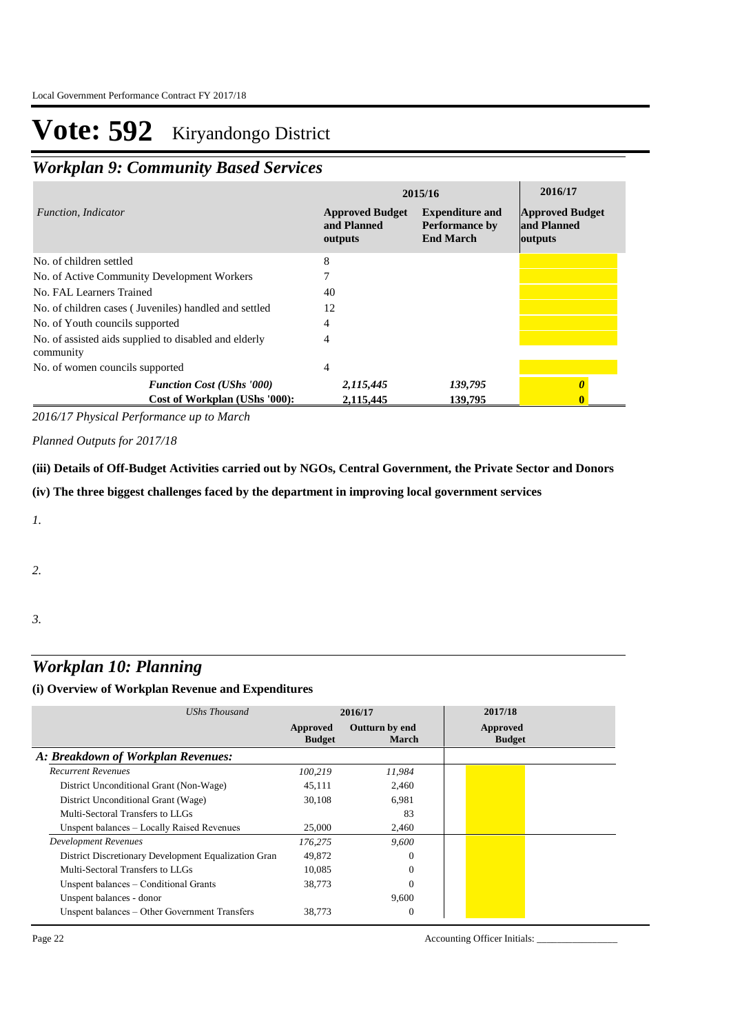### *Workplan 9: Community Based Services*

|                                                                    |                                                  | 2015/16                                                             | 2016/17                                          |
|--------------------------------------------------------------------|--------------------------------------------------|---------------------------------------------------------------------|--------------------------------------------------|
| Function, Indicator                                                | <b>Approved Budget</b><br>and Planned<br>outputs | <b>Expenditure and</b><br><b>Performance by</b><br><b>End March</b> | <b>Approved Budget</b><br>and Planned<br>outputs |
| No. of children settled                                            | 8                                                |                                                                     |                                                  |
| No. of Active Community Development Workers                        |                                                  |                                                                     |                                                  |
| No. FAL Learners Trained                                           | 40                                               |                                                                     |                                                  |
| No. of children cases (Juveniles) handled and settled              | 12                                               |                                                                     |                                                  |
| No. of Youth councils supported                                    | 4                                                |                                                                     |                                                  |
| No. of assisted aids supplied to disabled and elderly<br>community | 4                                                |                                                                     |                                                  |
| No. of women councils supported                                    | 4                                                |                                                                     |                                                  |
| <b>Function Cost (UShs '000)</b>                                   | 2,115,445                                        | 139,795                                                             |                                                  |
| Cost of Workplan (UShs '000):                                      | 2.115.445                                        | 139,795                                                             |                                                  |

*2016/17 Physical Performance up to March*

*Planned Outputs for 2017/18* 

**(iii) Details of Off-Budget Activities carried out by NGOs, Central Government, the Private Sector and Donors** 

**(iv) The three biggest challenges faced by the department in improving local government services**

*1.*

*2.*

*3.*

### *Workplan 10: Planning*

#### **(i) Overview of Workplan Revenue and Expenditures**

| UShs Thousand                                        | 2016/17                   |                         | 2017/18                   |
|------------------------------------------------------|---------------------------|-------------------------|---------------------------|
|                                                      | Approved<br><b>Budget</b> | Outturn by end<br>March | Approved<br><b>Budget</b> |
| A: Breakdown of Workplan Revenues:                   |                           |                         |                           |
| <b>Recurrent Revenues</b>                            | 100.219                   | 11,984                  |                           |
| District Unconditional Grant (Non-Wage)              | 45,111                    | 2,460                   |                           |
| District Unconditional Grant (Wage)                  | 30.108                    | 6.981                   |                           |
| Multi-Sectoral Transfers to LLGs                     |                           | 83                      |                           |
| Unspent balances – Locally Raised Revenues           | 25,000                    | 2,460                   |                           |
| <b>Development Revenues</b>                          | 176,275                   | 9,600                   |                           |
| District Discretionary Development Equalization Gran | 49,872                    | $\Omega$                |                           |
| Multi-Sectoral Transfers to LLGs                     | 10.085                    | $\Omega$                |                           |
| Unspent balances – Conditional Grants                | 38,773                    | $\Omega$                |                           |
| Unspent balances - donor                             |                           | 9,600                   |                           |
| Unspent balances – Other Government Transfers        | 38.773                    | $\overline{0}$          |                           |

Page 22 Accounting Officer Initials: \_\_\_\_\_\_\_\_\_\_\_\_\_\_\_\_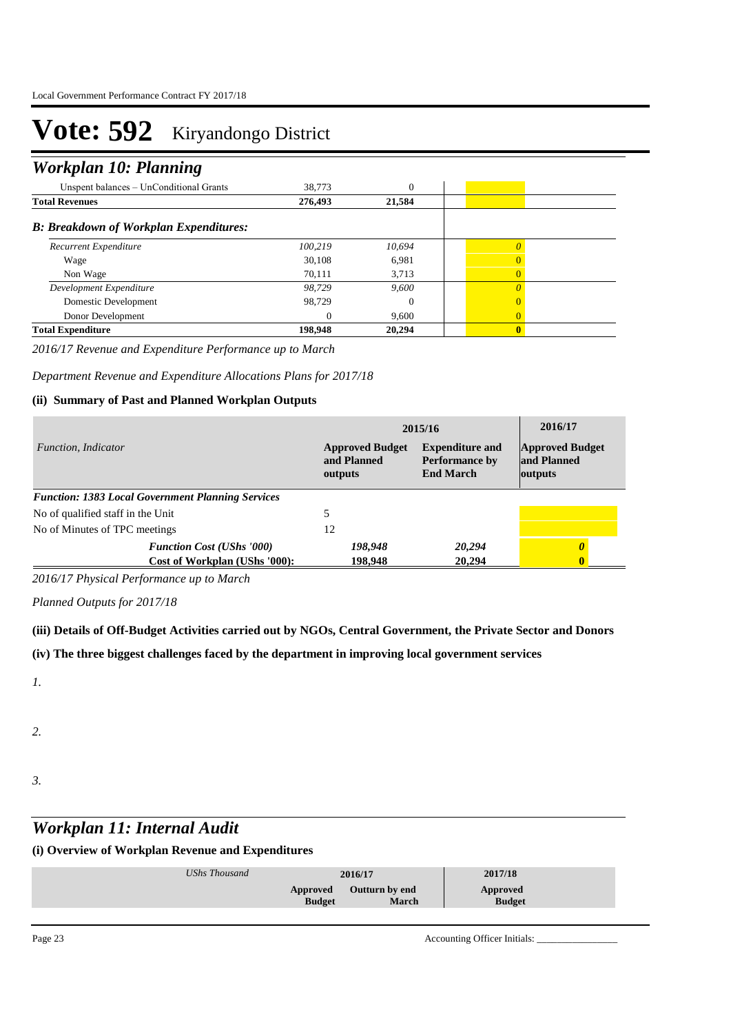### *Workplan 10: Planning*

| 38,773   | $\theta$ |          |  |
|----------|----------|----------|--|
| 276,493  | 21,584   |          |  |
|          |          |          |  |
| 100.219  | 10.694   | $\Omega$ |  |
| 30.108   | 6,981    |          |  |
| 70.111   | 3.713    |          |  |
| 98.729   | 9.600    |          |  |
| 98.729   | 0        |          |  |
| $\Omega$ | 9.600    |          |  |
| 198,948  | 20,294   | $\bf{0}$ |  |
|          |          |          |  |

*2016/17 Revenue and Expenditure Performance up to March*

*Department Revenue and Expenditure Allocations Plans for 2017/18*

#### **(ii) Summary of Past and Planned Workplan Outputs**

|                                                          | 2015/16                                          | 2016/17                                                             |                                                  |
|----------------------------------------------------------|--------------------------------------------------|---------------------------------------------------------------------|--------------------------------------------------|
| Function, Indicator                                      | <b>Approved Budget</b><br>and Planned<br>outputs | <b>Expenditure and</b><br><b>Performance by</b><br><b>End March</b> | <b>Approved Budget</b><br>and Planned<br>outputs |
| <b>Function: 1383 Local Government Planning Services</b> |                                                  |                                                                     |                                                  |
| No of qualified staff in the Unit                        |                                                  |                                                                     |                                                  |
| No of Minutes of TPC meetings                            | 12                                               |                                                                     |                                                  |
| <b>Function Cost (UShs '000)</b>                         | 198,948                                          | 20,294                                                              |                                                  |
| Cost of Workplan (UShs '000):                            | 198.948                                          | 20,294                                                              | Λ                                                |

*2016/17 Physical Performance up to March*

*Planned Outputs for 2017/18* 

**(iii) Details of Off-Budget Activities carried out by NGOs, Central Government, the Private Sector and Donors** 

**(iv) The three biggest challenges faced by the department in improving local government services**

*1.*

*2.*

*3.*

## *Workplan 11: Internal Audit*

| <b>Outturn by end</b><br>Approved<br>Approved | UShs Thousand |               | 2016/17      | 2017/18       |  |
|-----------------------------------------------|---------------|---------------|--------------|---------------|--|
|                                               |               | <b>Budget</b> | <b>March</b> | <b>Budget</b> |  |